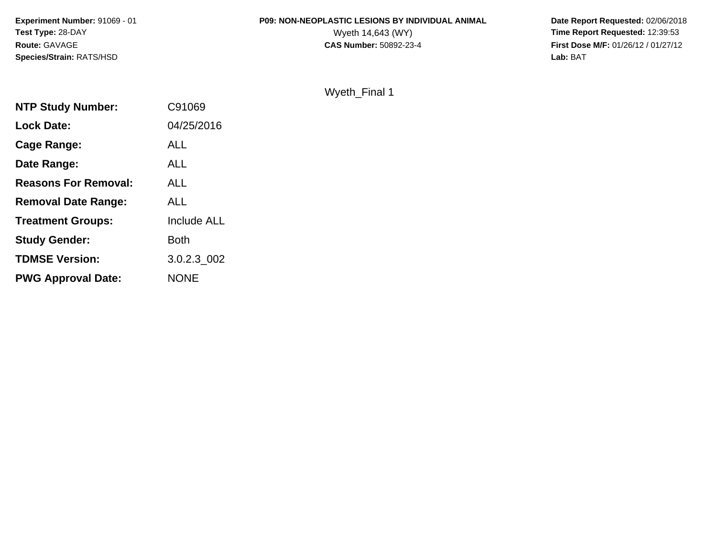# **P09: NON-NEOPLASTIC LESIONS BY INDIVIDUAL ANIMAL**<br>Wyeth 14,643 (WY)

 **Date Report Requested:** 02/06/2018 Wyeth 14,643 (WY) **Time Report Requested:** 12:39:53<br>**CAS Number:** 50892-23-4 **Time Report Requested:** 12:39:53 **First Dose M/F:** 01/26/12 / 01/27/12<br>Lab: BAT **Lab:** BAT

#### Wyeth\_Final 1

| C91069             |
|--------------------|
| 04/25/2016         |
| ALL                |
| <b>ALL</b>         |
| <b>ALL</b>         |
| <b>ALL</b>         |
| <b>Include ALL</b> |
| <b>Both</b>        |
| 3.0.2.3 002        |
| <b>NONE</b>        |
|                    |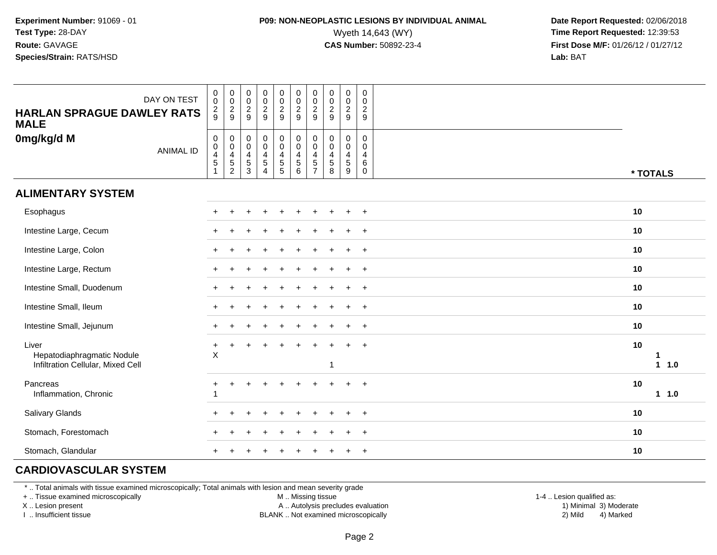### **P09: NON-NEOPLASTIC LESIONS BY INDIVIDUAL ANIMAL**<br>Wyeth 14,643 (WY) Wyeth 14,643 (WY) **Time Report Requested:** 12:39:53<br>**CAS Number:** 50892-23-4 **Time Report Requested:** 12:39:53

 **Date Report Requested:** 02/06/2018 **First Dose M/F:** 01/26/12 / 01/27/12<br>**Lab:** BAT

| DAY ON TEST<br><b>HARLAN SPRAGUE DAWLEY RATS</b><br><b>MALE</b>          | $\pmb{0}$<br>$\pmb{0}$<br>$\frac{2}{9}$                         | $\mathbf 0$<br>$\mathsf{O}\xspace$<br>$\frac{2}{9}$                      | $\pmb{0}$<br>$\pmb{0}$<br>$\frac{2}{9}$                   | $\begin{array}{c} 0 \\ 0 \\ 2 \\ 9 \end{array}$                    | $_{\rm 0}^{\rm 0}$<br>$\frac{2}{9}$                                                        | $\mathbf 0$<br>$\mathbf 0$<br>$\overline{2}$<br>9                                          | $\pmb{0}$<br>$\mathbf 0$<br>$\overline{c}$<br>9 | $\pmb{0}$<br>$\pmb{0}$<br>$\overline{c}$<br>9 | $\pmb{0}$<br>$\pmb{0}$<br>$\overline{c}$<br>9                 | $\mathbf 0$<br>$\mathbf 0$<br>$\overline{2}$<br>9                |                    |
|--------------------------------------------------------------------------|-----------------------------------------------------------------|--------------------------------------------------------------------------|-----------------------------------------------------------|--------------------------------------------------------------------|--------------------------------------------------------------------------------------------|--------------------------------------------------------------------------------------------|-------------------------------------------------|-----------------------------------------------|---------------------------------------------------------------|------------------------------------------------------------------|--------------------|
| 0mg/kg/d M<br><b>ANIMAL ID</b>                                           | $\pmb{0}$<br>$\mathbf 0$<br>$\overline{4}$<br>5<br>$\mathbf{1}$ | $\mathbf 0$<br>$\mathbf 0$<br>$\begin{array}{c} 4 \\ 5 \\ 2 \end{array}$ | $\,0\,$<br>$\mathbf 0$<br>$\overline{4}$<br>$\frac{5}{3}$ | $\pmb{0}$<br>$\pmb{0}$<br>$\overline{\mathbf{4}}$<br>$\frac{5}{4}$ | $\begin{smallmatrix} 0\\0 \end{smallmatrix}$<br>$\begin{array}{c} 4 \\ 5 \\ 5 \end{array}$ | $\begin{smallmatrix} 0\\0 \end{smallmatrix}$<br>$\begin{array}{c} 4 \\ 5 \end{array}$<br>6 | 0<br>$\mathbf 0$<br>4<br>5<br>$\overline{7}$    | $\mathbf 0$<br>0<br>4<br>$\sqrt{5}$<br>8      | $\pmb{0}$<br>$\pmb{0}$<br>4<br>$\sqrt{5}$<br>$\boldsymbol{9}$ | $\mathbf 0$<br>$\mathbf 0$<br>$\overline{4}$<br>6<br>$\mathbf 0$ | * TOTALS           |
| <b>ALIMENTARY SYSTEM</b>                                                 |                                                                 |                                                                          |                                                           |                                                                    |                                                                                            |                                                                                            |                                                 |                                               |                                                               |                                                                  |                    |
| Esophagus                                                                |                                                                 |                                                                          |                                                           |                                                                    |                                                                                            |                                                                                            |                                                 |                                               |                                                               | $\overline{ }$                                                   | 10                 |
| Intestine Large, Cecum                                                   |                                                                 |                                                                          |                                                           |                                                                    |                                                                                            |                                                                                            |                                                 |                                               |                                                               | $\ddot{}$                                                        | 10                 |
| Intestine Large, Colon                                                   |                                                                 |                                                                          |                                                           |                                                                    |                                                                                            |                                                                                            |                                                 |                                               |                                                               | $+$                                                              | 10                 |
| Intestine Large, Rectum                                                  |                                                                 |                                                                          |                                                           |                                                                    |                                                                                            |                                                                                            |                                                 |                                               |                                                               | $+$                                                              | 10                 |
| Intestine Small, Duodenum                                                |                                                                 |                                                                          |                                                           |                                                                    |                                                                                            |                                                                                            |                                                 |                                               |                                                               | $+$                                                              | 10                 |
| Intestine Small, Ileum                                                   |                                                                 |                                                                          |                                                           |                                                                    |                                                                                            |                                                                                            |                                                 |                                               |                                                               | $\overline{ }$                                                   | 10                 |
| Intestine Small, Jejunum                                                 |                                                                 |                                                                          |                                                           |                                                                    |                                                                                            |                                                                                            |                                                 |                                               |                                                               | $+$                                                              | 10                 |
| Liver<br>Hepatodiaphragmatic Nodule<br>Infiltration Cellular, Mixed Cell | $\ddot{}$<br>$\boldsymbol{\mathsf{X}}$                          | $\ddot{}$                                                                |                                                           |                                                                    |                                                                                            |                                                                                            |                                                 | 1                                             |                                                               | $^{+}$                                                           | 10<br>1<br>$1 1.0$ |
| Pancreas<br>Inflammation, Chronic                                        | +                                                               |                                                                          |                                                           |                                                                    |                                                                                            |                                                                                            |                                                 |                                               |                                                               |                                                                  | 10<br>11.0         |
| Salivary Glands                                                          |                                                                 |                                                                          |                                                           |                                                                    |                                                                                            |                                                                                            |                                                 |                                               |                                                               | $\overline{ }$                                                   | 10                 |
| Stomach, Forestomach                                                     |                                                                 |                                                                          |                                                           |                                                                    |                                                                                            |                                                                                            |                                                 |                                               |                                                               | $\ddot{}$                                                        | 10                 |
| Stomach, Glandular                                                       |                                                                 |                                                                          |                                                           |                                                                    |                                                                                            |                                                                                            |                                                 |                                               | $\pm$                                                         | $\overline{+}$                                                   | 10                 |

#### **CARDIOVASCULAR SYSTEM**

\* .. Total animals with tissue examined microscopically; Total animals with lesion and mean severity grade

+ .. Tissue examined microscopically

X .. Lesion present

I .. Insufficient tissue

M .. Missing tissue

A .. Autolysis precludes evaluation

BLANK .. Not examined microscopically 2) Mild 4) Marked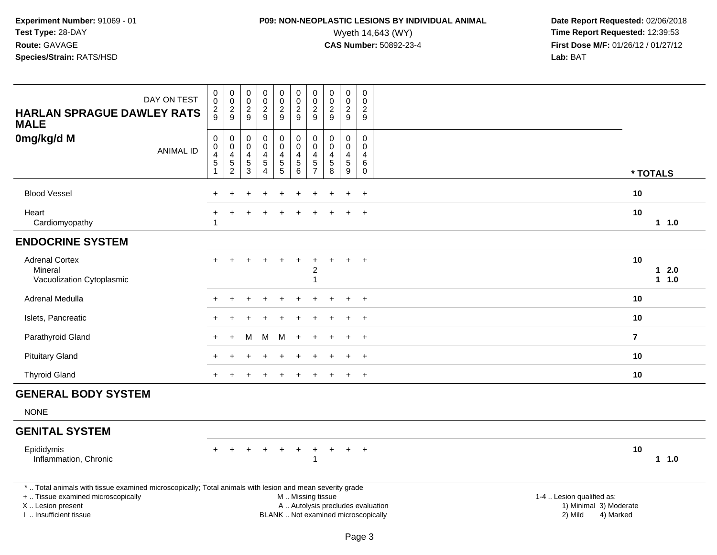# **P09: NON-NEOPLASTIC LESIONS BY INDIVIDUAL ANIMAL**<br>Wyeth 14,643 (WY) Wyeth 14,643 (WY) **Time Report Requested:** 12:39:53<br>**CAS Number:** 50892-23-4 **Time Report Requested:** 12:39:53

| DAY ON TEST<br><b>HARLAN SPRAGUE DAWLEY RATS</b><br><b>MALE</b>                   | $_{\rm 0}^{\rm 0}$<br>$\frac{2}{9}$                                                                                                                                                                                                                                                      | $_{\rm 0}^{\rm 0}$<br>$\frac{2}{9}$                                                   | $\mathbf 0$<br>$\ddot{\mathbf{0}}$<br>$\frac{2}{9}$ | 00029                                                                       | $\boldsymbol{0}$<br>$\ddot{\mathbf{0}}$<br>$\frac{2}{9}$             | 0<br>$\ddot{\mathbf{0}}$<br>$\frac{2}{9}$                       | $\pmb{0}$<br>$\ddot{\mathbf{0}}$<br>$\frac{2}{9}$                 | $\begin{smallmatrix} 0\\0 \end{smallmatrix}$<br>$\frac{2}{9}$ | $\pmb{0}$<br>$\ddot{\mathbf{0}}$<br>$\frac{2}{9}$             | $\mathsf 0$<br>$\mathbf 0$<br>$\frac{2}{9}$               |                |                              |
|-----------------------------------------------------------------------------------|------------------------------------------------------------------------------------------------------------------------------------------------------------------------------------------------------------------------------------------------------------------------------------------|---------------------------------------------------------------------------------------|-----------------------------------------------------|-----------------------------------------------------------------------------|----------------------------------------------------------------------|-----------------------------------------------------------------|-------------------------------------------------------------------|---------------------------------------------------------------|---------------------------------------------------------------|-----------------------------------------------------------|----------------|------------------------------|
| 0mg/kg/d M<br><b>ANIMAL ID</b>                                                    | $\mathsf 0$<br>$\mathsf 0$<br>$\overline{\mathbf{4}}$<br>$\mathbf 5$<br>$\overline{1}$                                                                                                                                                                                                   | $\mathbf 0$<br>$\mathsf{O}\xspace$<br>$\overline{4}$<br>$\mathbf 5$<br>$\overline{c}$ | 0<br>$\mathbf 0$<br>4<br>$\,$ 5 $\,$<br>3           | $\boldsymbol{0}$<br>$\pmb{0}$<br>4<br>$\,$ 5 $\,$<br>$\boldsymbol{\Lambda}$ | 0<br>$\mathsf{O}\xspace$<br>$\overline{\mathbf{4}}$<br>$\frac{5}{5}$ | $\mathsf 0$<br>$\mathbf 0$<br>$\overline{\mathbf{4}}$<br>5<br>6 | $\pmb{0}$<br>$\mathbf 0$<br>$\overline{4}$<br>5<br>$\overline{7}$ | $\mathbf 0$<br>$\mathbf 0$<br>4<br>$\sqrt{5}$<br>8            | $\pmb{0}$<br>$\mathbf 0$<br>$\overline{4}$<br>$\sqrt{5}$<br>9 | $\mathbf 0$<br>$\mathbf 0$<br>4<br>$\,6\,$<br>$\mathbf 0$ | * TOTALS       |                              |
| <b>Blood Vessel</b>                                                               | $\ddot{}$                                                                                                                                                                                                                                                                                |                                                                                       |                                                     |                                                                             | ÷.                                                                   |                                                                 |                                                                   |                                                               | $\ddot{}$                                                     | $+$                                                       | 10             |                              |
| Heart<br>Cardiomyopathy                                                           | -1                                                                                                                                                                                                                                                                                       |                                                                                       |                                                     |                                                                             |                                                                      |                                                                 |                                                                   |                                                               |                                                               | $\ddot{}$                                                 | 10             | 1 1.0                        |
| <b>ENDOCRINE SYSTEM</b>                                                           |                                                                                                                                                                                                                                                                                          |                                                                                       |                                                     |                                                                             |                                                                      |                                                                 |                                                                   |                                                               |                                                               |                                                           |                |                              |
| <b>Adrenal Cortex</b><br>Mineral<br>Vacuolization Cytoplasmic                     |                                                                                                                                                                                                                                                                                          |                                                                                       |                                                     |                                                                             |                                                                      |                                                                 | $\overline{\mathbf{c}}$<br>$\mathbf{1}$                           |                                                               |                                                               | $\ddot{}$                                                 | 10             | $\mathbf{1}$<br>2.0<br>1 1.0 |
| Adrenal Medulla                                                                   |                                                                                                                                                                                                                                                                                          |                                                                                       |                                                     |                                                                             |                                                                      |                                                                 |                                                                   |                                                               | $\div$                                                        | $+$                                                       | 10             |                              |
| Islets, Pancreatic                                                                |                                                                                                                                                                                                                                                                                          |                                                                                       |                                                     |                                                                             |                                                                      |                                                                 |                                                                   |                                                               |                                                               | $\ddot{}$                                                 | 10             |                              |
| Parathyroid Gland                                                                 |                                                                                                                                                                                                                                                                                          | $\div$                                                                                | м                                                   | M                                                                           | M                                                                    | $\div$                                                          |                                                                   |                                                               |                                                               | $\overline{+}$                                            | $\overline{7}$ |                              |
| <b>Pituitary Gland</b>                                                            |                                                                                                                                                                                                                                                                                          |                                                                                       |                                                     |                                                                             |                                                                      |                                                                 |                                                                   |                                                               | $\ddot{}$                                                     | $+$                                                       | 10             |                              |
| <b>Thyroid Gland</b>                                                              |                                                                                                                                                                                                                                                                                          |                                                                                       |                                                     |                                                                             |                                                                      |                                                                 |                                                                   |                                                               | $\ddot{}$                                                     | $+$                                                       | 10             |                              |
| <b>GENERAL BODY SYSTEM</b>                                                        |                                                                                                                                                                                                                                                                                          |                                                                                       |                                                     |                                                                             |                                                                      |                                                                 |                                                                   |                                                               |                                                               |                                                           |                |                              |
| <b>NONE</b>                                                                       |                                                                                                                                                                                                                                                                                          |                                                                                       |                                                     |                                                                             |                                                                      |                                                                 |                                                                   |                                                               |                                                               |                                                           |                |                              |
| <b>GENITAL SYSTEM</b>                                                             |                                                                                                                                                                                                                                                                                          |                                                                                       |                                                     |                                                                             |                                                                      |                                                                 |                                                                   |                                                               |                                                               |                                                           |                |                              |
| Epididymis<br>Inflammation, Chronic                                               | $+$                                                                                                                                                                                                                                                                                      | $\ddot{}$                                                                             |                                                     |                                                                             | $\div$                                                               |                                                                 | $\ddot{}$<br>$\mathbf{1}$                                         | ÷                                                             | $\ddot{}$                                                     | $+$                                                       | 10             | $1 \t1.0$                    |
| +  Tissue examined microscopically<br>X  Lesion present<br>I  Insufficient tissue | *  Total animals with tissue examined microscopically; Total animals with lesion and mean severity grade<br>1-4  Lesion qualified as:<br>M  Missing tissue<br>A  Autolysis precludes evaluation<br>1) Minimal 3) Moderate<br>BLANK  Not examined microscopically<br>2) Mild<br>4) Marked |                                                                                       |                                                     |                                                                             |                                                                      |                                                                 |                                                                   |                                                               |                                                               |                                                           |                |                              |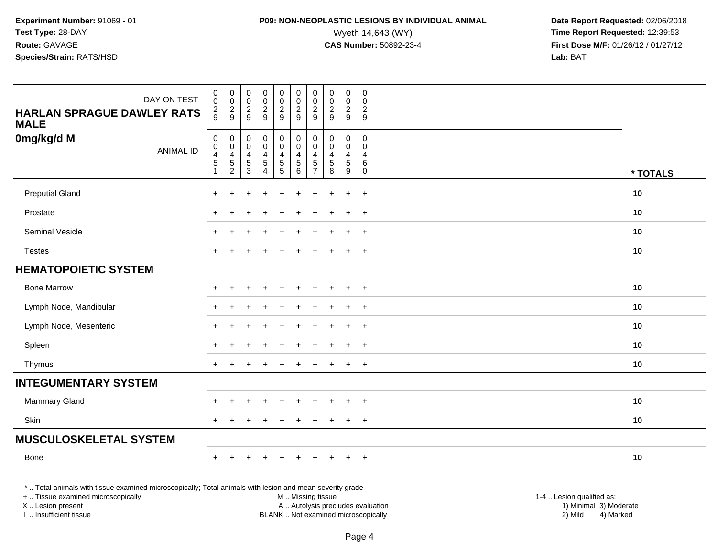# **P09: NON-NEOPLASTIC LESIONS BY INDIVIDUAL ANIMAL**<br>Wyeth 14,643 (WY) Wyeth 14,643 (WY) **Time Report Requested:** 12:39:53<br>**CAS Number:** 50892-23-4 **Time Report Requested:** 12:39:53

| <b>HARLAN SPRAGUE DAWLEY RATS</b>                                                                                                              | DAY ON TEST      | $_{\rm 0}^{\rm 0}$<br>$\frac{2}{9}$                    | $\pmb{0}$<br>$\pmb{0}$<br>$\overline{c}$              | 0<br>0<br>$\boldsymbol{2}$     | $\pmb{0}$<br>$\pmb{0}$<br>$\overline{2}$                                              | 0<br>$\pmb{0}$<br>$\overline{c}$            | $\mathbf 0$<br>$\mathbf 0$<br>$\boldsymbol{2}$                   | 0<br>0<br>$\overline{c}$                  | $\pmb{0}$<br>0<br>$\overline{2}$                                | $\pmb{0}$<br>$\mathbf 0$<br>$\overline{c}$ | $\mathsf{O}\xspace$<br>0<br>$\mathbf{2}$ |                           |
|------------------------------------------------------------------------------------------------------------------------------------------------|------------------|--------------------------------------------------------|-------------------------------------------------------|--------------------------------|---------------------------------------------------------------------------------------|---------------------------------------------|------------------------------------------------------------------|-------------------------------------------|-----------------------------------------------------------------|--------------------------------------------|------------------------------------------|---------------------------|
| <b>MALE</b>                                                                                                                                    |                  |                                                        | 9                                                     | 9                              | $\overline{9}$                                                                        | 9                                           | 9                                                                | 9                                         | 9                                                               | 9                                          | 9                                        |                           |
| 0mg/kg/d M                                                                                                                                     | <b>ANIMAL ID</b> | 0<br>0<br>$\overline{\mathbf{4}}$<br>$\,$ 5 $\,$<br>-1 | $\mathbf 0$<br>0<br>4<br>$\sqrt{5}$<br>$\overline{c}$ | 0<br>0<br>4<br>$\sqrt{5}$<br>3 | $\mathbf 0$<br>$\mathbf 0$<br>$\overline{4}$<br>$\,$ 5 $\,$<br>$\boldsymbol{\Lambda}$ | 0<br>0<br>4<br>$\sqrt{5}$<br>$\overline{5}$ | $\mathbf 0$<br>$\mathbf 0$<br>$\overline{4}$<br>$\,$ 5 $\,$<br>6 | 0<br>$\Omega$<br>4<br>5<br>$\overline{7}$ | $\mathbf 0$<br>$\mathbf 0$<br>$\overline{4}$<br>$\sqrt{5}$<br>8 | 0<br>0<br>$\overline{4}$<br>5<br>9         | $\mathbf 0$<br>$\Omega$<br>4<br>6<br>0   | * TOTALS                  |
| <b>Preputial Gland</b>                                                                                                                         |                  |                                                        |                                                       |                                |                                                                                       |                                             |                                                                  |                                           |                                                                 | $\ddot{}$                                  | $+$                                      | 10                        |
| Prostate                                                                                                                                       |                  |                                                        |                                                       |                                |                                                                                       |                                             |                                                                  |                                           |                                                                 | $\pm$                                      | $+$                                      | 10                        |
| Seminal Vesicle                                                                                                                                |                  |                                                        |                                                       |                                |                                                                                       |                                             |                                                                  |                                           |                                                                 |                                            | $\ddot{}$                                | 10                        |
| <b>Testes</b>                                                                                                                                  |                  | $+$                                                    |                                                       |                                |                                                                                       |                                             |                                                                  |                                           |                                                                 | $\ddot{}$                                  | $+$                                      | 10                        |
| <b>HEMATOPOIETIC SYSTEM</b>                                                                                                                    |                  |                                                        |                                                       |                                |                                                                                       |                                             |                                                                  |                                           |                                                                 |                                            |                                          |                           |
| <b>Bone Marrow</b>                                                                                                                             |                  |                                                        |                                                       |                                |                                                                                       |                                             |                                                                  |                                           |                                                                 |                                            | $\pm$                                    | 10                        |
| Lymph Node, Mandibular                                                                                                                         |                  |                                                        |                                                       |                                |                                                                                       |                                             |                                                                  |                                           |                                                                 | $\ddot{}$                                  | $+$                                      | 10                        |
| Lymph Node, Mesenteric                                                                                                                         |                  |                                                        |                                                       |                                |                                                                                       |                                             |                                                                  |                                           |                                                                 | $\ddot{}$                                  | $+$                                      | 10                        |
| Spleen                                                                                                                                         |                  |                                                        |                                                       |                                |                                                                                       |                                             |                                                                  |                                           |                                                                 | $\div$                                     | $\overline{+}$                           | 10                        |
| Thymus                                                                                                                                         |                  | $+$                                                    |                                                       |                                |                                                                                       |                                             |                                                                  |                                           |                                                                 | $+$                                        | $+$                                      | 10                        |
| <b>INTEGUMENTARY SYSTEM</b>                                                                                                                    |                  |                                                        |                                                       |                                |                                                                                       |                                             |                                                                  |                                           |                                                                 |                                            |                                          |                           |
| Mammary Gland                                                                                                                                  |                  |                                                        |                                                       |                                |                                                                                       |                                             |                                                                  |                                           |                                                                 | $\div$                                     | $\overline{+}$                           | 10                        |
| Skin                                                                                                                                           |                  |                                                        |                                                       |                                |                                                                                       |                                             |                                                                  |                                           |                                                                 | $\ddot{}$                                  | $+$                                      | 10                        |
| <b>MUSCULOSKELETAL SYSTEM</b>                                                                                                                  |                  |                                                        |                                                       |                                |                                                                                       |                                             |                                                                  |                                           |                                                                 |                                            |                                          |                           |
| Bone                                                                                                                                           |                  |                                                        |                                                       |                                |                                                                                       |                                             |                                                                  |                                           |                                                                 | $\ddot{}$                                  | $+$                                      | 10                        |
| *  Total animals with tissue examined microscopically; Total animals with lesion and mean severity grade<br>+  Tissue examined microscopically |                  |                                                        |                                                       |                                |                                                                                       |                                             |                                                                  |                                           | M  Missing tissue                                               |                                            |                                          | 1-4  Lesion qualified as: |
| X  Lesion present                                                                                                                              |                  |                                                        |                                                       |                                |                                                                                       |                                             |                                                                  |                                           | A  Autolysis precludes evaluation                               |                                            |                                          | 1) Minimal 3) Moderate    |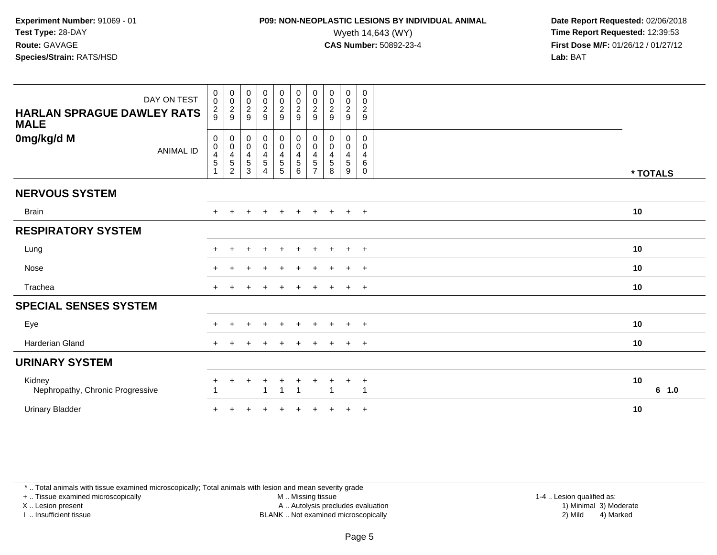### **P09: NON-NEOPLASTIC LESIONS BY INDIVIDUAL ANIMAL**<br>Wyeth 14,643 (WY) Wyeth 14,643 (WY) **Time Report Requested:** 12:39:53<br>**CAS Number:** 50892-23-4 **Time Report Requested:** 12:39:53

 **Date Report Requested:** 02/06/2018 **First Dose M/F:** 01/26/12 / 01/27/12<br>**Lab:** BAT

| DAY ON TEST<br><b>HARLAN SPRAGUE DAWLEY RATS</b><br><b>MALE</b> | $\pmb{0}$<br>$\mathsf{O}\xspace$<br>$\frac{2}{9}$ | $\begin{array}{c} 0 \\ 0 \\ 2 \\ 9 \end{array}$       | 00029                                                | 00029                                                                                     | $\begin{array}{c} 0 \\ 0 \\ 2 \\ 9 \end{array}$               | $\pmb{0}$<br>$\pmb{0}$<br>$\overline{c}$<br>$\boldsymbol{9}$ | $\pmb{0}$<br>$\pmb{0}$<br>$\sqrt{2}$<br>$\boldsymbol{9}$ | 0<br>$\pmb{0}$<br>$\mathbf 2$<br>9                             | $\pmb{0}$<br>$\frac{0}{2}$<br>$9\,$                 | $\mathbf 0$<br>$\mathbf 0$<br>$\sqrt{2}$<br>9             |             |
|-----------------------------------------------------------------|---------------------------------------------------|-------------------------------------------------------|------------------------------------------------------|-------------------------------------------------------------------------------------------|---------------------------------------------------------------|--------------------------------------------------------------|----------------------------------------------------------|----------------------------------------------------------------|-----------------------------------------------------|-----------------------------------------------------------|-------------|
| 0mg/kg/d M<br><b>ANIMAL ID</b>                                  | $\pmb{0}$<br>$\mathbf 0$<br>$\overline{4}$<br>5   | $_{\rm 0}^{\rm 0}$<br>$\frac{4}{5}$<br>$\overline{2}$ | 0<br>$\pmb{0}$<br>$\overline{4}$<br>$\,$ 5 $\,$<br>3 | $_{\rm 0}^{\rm 0}$<br>$\overline{\mathbf{4}}$<br>$\overline{5}$<br>$\boldsymbol{\Lambda}$ | $\begin{smallmatrix} 0\\0 \end{smallmatrix}$<br>$\frac{4}{5}$ | $\pmb{0}$<br>$\pmb{0}$<br>$\overline{4}$<br>$\sqrt{5}$<br>6  | 0<br>$\pmb{0}$<br>4<br>5<br>$\overline{ }$               | $\mathbf 0$<br>$\pmb{0}$<br>$\overline{4}$<br>$\,$ 5 $\,$<br>8 | 0<br>$\pmb{0}$<br>$\overline{4}$<br>$\sqrt{5}$<br>9 | $\mathbf 0$<br>$\mathbf 0$<br>4<br>$\,6\,$<br>$\mathbf 0$ | * TOTALS    |
| <b>NERVOUS SYSTEM</b>                                           |                                                   |                                                       |                                                      |                                                                                           |                                                               |                                                              |                                                          |                                                                |                                                     |                                                           |             |
| <b>Brain</b>                                                    |                                                   |                                                       | +                                                    | $\ddot{}$                                                                                 | $+$                                                           | $\ddot{}$                                                    | $\ddot{}$                                                | $+$                                                            | $+$                                                 | $+$                                                       | 10          |
| <b>RESPIRATORY SYSTEM</b>                                       |                                                   |                                                       |                                                      |                                                                                           |                                                               |                                                              |                                                          |                                                                |                                                     |                                                           |             |
| Lung                                                            |                                                   |                                                       |                                                      |                                                                                           |                                                               |                                                              |                                                          |                                                                | $\pm$                                               | $+$                                                       | 10          |
| Nose                                                            |                                                   |                                                       |                                                      |                                                                                           |                                                               |                                                              |                                                          |                                                                | $\div$                                              | $+$                                                       | 10          |
| Trachea                                                         | $+$                                               |                                                       |                                                      |                                                                                           |                                                               |                                                              |                                                          | $\ddot{}$                                                      | $+$                                                 | $+$                                                       | 10          |
| <b>SPECIAL SENSES SYSTEM</b>                                    |                                                   |                                                       |                                                      |                                                                                           |                                                               |                                                              |                                                          |                                                                |                                                     |                                                           |             |
| Eye                                                             |                                                   |                                                       |                                                      |                                                                                           |                                                               |                                                              |                                                          | ÷                                                              | $\pm$                                               | $+$                                                       | 10          |
| <b>Harderian Gland</b>                                          | $+$                                               |                                                       |                                                      |                                                                                           |                                                               |                                                              |                                                          |                                                                | $\ddot{}$                                           | $+$                                                       | 10          |
| <b>URINARY SYSTEM</b>                                           |                                                   |                                                       |                                                      |                                                                                           |                                                               |                                                              |                                                          |                                                                |                                                     |                                                           |             |
| Kidney<br>Nephropathy, Chronic Progressive                      | $\pm$                                             | $\ddot{}$                                             | +                                                    | $\pm$<br>-1                                                                               | $\ddot{}$<br>$\mathbf{1}$                                     | $\ddot{}$<br>$\overline{1}$                                  |                                                          | ٠<br>$\overline{1}$                                            | $\ddot{}$                                           | $\overline{+}$<br>$\overline{1}$                          | 10<br>6 1.0 |
| <b>Urinary Bladder</b>                                          |                                                   |                                                       |                                                      |                                                                                           |                                                               |                                                              |                                                          |                                                                | $\pm$                                               | $+$                                                       | 10          |

\* .. Total animals with tissue examined microscopically; Total animals with lesion and mean severity grade

+ .. Tissue examined microscopically

X .. Lesion present

I .. Insufficient tissue

M .. Missing tissue

Lesion present A .. Autolysis precludes evaluation 1) Minimal 3) Moderate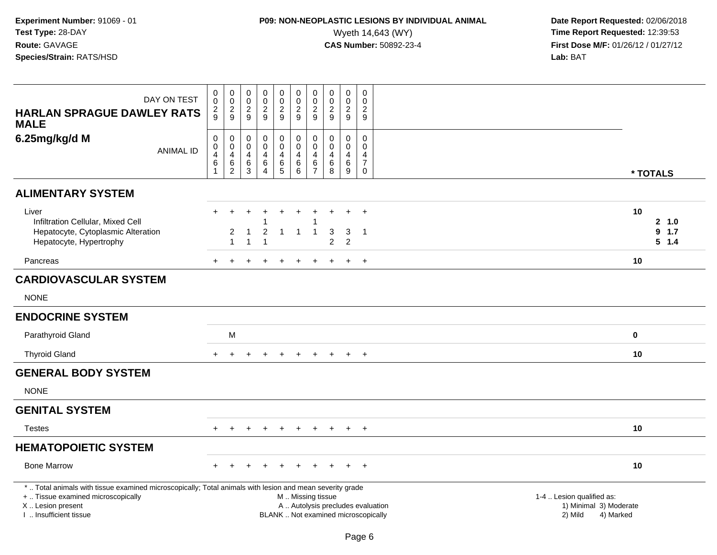# **P09: NON-NEOPLASTIC LESIONS BY INDIVIDUAL ANIMAL**<br>Wyeth 14,643 (WY) Wyeth 14,643 (WY) **Time Report Requested:** 12:39:53<br>**CAS Number:** 50892-23-4 **Time Report Requested:** 12:39:53

| DAY ON TEST<br><b>HARLAN SPRAGUE DAWLEY RATS</b><br><b>MALE</b>                                                                                                                               | $\pmb{0}$<br>$\mathbf 0$<br>$\frac{2}{9}$ | 00029                                                                 | 0<br>$\mathbf 0$<br>$\sqrt{2}$<br>9                                     | $\pmb{0}$<br>$\mathbf 0$<br>$\overline{2}$<br>9                           | 0<br>$\mathsf{O}\xspace$<br>$\frac{2}{9}$ | $_{\rm 0}^{\rm 0}$<br>$\frac{2}{9}$                           | $\pmb{0}$<br>$\pmb{0}$<br>$\boldsymbol{2}$<br>9               | $\pmb{0}$<br>$\mathbf 0$<br>$\overline{2}$<br>9 | $\pmb{0}$<br>$\pmb{0}$<br>$\overline{2}$<br>9                | $\mathbf 0$<br>$\mathbf 0$<br>$\sqrt{2}$<br>9                                 |                                                                                                                  |
|-----------------------------------------------------------------------------------------------------------------------------------------------------------------------------------------------|-------------------------------------------|-----------------------------------------------------------------------|-------------------------------------------------------------------------|---------------------------------------------------------------------------|-------------------------------------------|---------------------------------------------------------------|---------------------------------------------------------------|-------------------------------------------------|--------------------------------------------------------------|-------------------------------------------------------------------------------|------------------------------------------------------------------------------------------------------------------|
| 6.25mg/kg/d M<br><b>ANIMAL ID</b>                                                                                                                                                             | 0<br>$\mathbf 0$<br>4<br>$\,6\,$          | $\mathbf 0$<br>$\mathsf{O}\xspace$<br>$\overline{4}$<br>$\frac{6}{2}$ | $\mathbf 0$<br>$\mathbf 0$<br>$\overline{4}$<br>$\,6$<br>$\overline{3}$ | $\mathbf 0$<br>$\mathbf 0$<br>$\overline{4}$<br>$\,6\,$<br>$\overline{4}$ | 0<br>$\mathbf 0$<br>4<br>$^6_5$           | $\pmb{0}$<br>$\mathbf 0$<br>$\overline{\mathbf{4}}$<br>$^6_6$ | $\mathbf 0$<br>$\mathbf 0$<br>$\overline{4}$<br>$\frac{6}{7}$ | 0<br>0<br>$\overline{4}$<br>$^6_8$              | $\mathbf 0$<br>$\mathbf 0$<br>4<br>$\,6\,$<br>$\overline{9}$ | $\mathbf 0$<br>$\mathbf 0$<br>$\overline{4}$<br>$\overline{7}$<br>$\mathbf 0$ | * TOTALS                                                                                                         |
| <b>ALIMENTARY SYSTEM</b>                                                                                                                                                                      |                                           |                                                                       |                                                                         |                                                                           |                                           |                                                               |                                                               |                                                 |                                                              |                                                                               |                                                                                                                  |
| Liver<br>Infiltration Cellular, Mixed Cell<br>Hepatocyte, Cytoplasmic Alteration<br>Hepatocyte, Hypertrophy                                                                                   |                                           | 2<br>$\overline{1}$                                                   | -1<br>1                                                                 | $\overline{c}$<br>1                                                       | $\div$<br>$\overline{1}$                  | $\ddot{}$<br>$\overline{1}$                                   | $\overline{1}$                                                | $\ddot{}$<br>3<br>$\overline{2}$                | $\ddot{}$<br>3<br>$\overline{2}$                             | $+$<br>$\overline{1}$                                                         | 10<br>2, 1.0<br>9, 1.7<br>5 1.4                                                                                  |
| Pancreas                                                                                                                                                                                      | $+$                                       |                                                                       |                                                                         |                                                                           |                                           |                                                               |                                                               |                                                 |                                                              | $+$                                                                           | 10                                                                                                               |
| <b>CARDIOVASCULAR SYSTEM</b>                                                                                                                                                                  |                                           |                                                                       |                                                                         |                                                                           |                                           |                                                               |                                                               |                                                 |                                                              |                                                                               |                                                                                                                  |
| <b>NONE</b>                                                                                                                                                                                   |                                           |                                                                       |                                                                         |                                                                           |                                           |                                                               |                                                               |                                                 |                                                              |                                                                               |                                                                                                                  |
| <b>ENDOCRINE SYSTEM</b>                                                                                                                                                                       |                                           |                                                                       |                                                                         |                                                                           |                                           |                                                               |                                                               |                                                 |                                                              |                                                                               |                                                                                                                  |
| Parathyroid Gland                                                                                                                                                                             |                                           | M                                                                     |                                                                         |                                                                           |                                           |                                                               |                                                               |                                                 |                                                              |                                                                               | $\mathbf 0$                                                                                                      |
| <b>Thyroid Gland</b>                                                                                                                                                                          | $\pm$                                     |                                                                       |                                                                         |                                                                           |                                           |                                                               |                                                               |                                                 | $\pm$                                                        | $+$                                                                           | 10                                                                                                               |
| <b>GENERAL BODY SYSTEM</b>                                                                                                                                                                    |                                           |                                                                       |                                                                         |                                                                           |                                           |                                                               |                                                               |                                                 |                                                              |                                                                               |                                                                                                                  |
| <b>NONE</b>                                                                                                                                                                                   |                                           |                                                                       |                                                                         |                                                                           |                                           |                                                               |                                                               |                                                 |                                                              |                                                                               |                                                                                                                  |
| <b>GENITAL SYSTEM</b>                                                                                                                                                                         |                                           |                                                                       |                                                                         |                                                                           |                                           |                                                               |                                                               |                                                 |                                                              |                                                                               |                                                                                                                  |
| <b>Testes</b>                                                                                                                                                                                 |                                           |                                                                       |                                                                         |                                                                           |                                           |                                                               |                                                               |                                                 | $\ddot{}$                                                    | $+$                                                                           | 10                                                                                                               |
| <b>HEMATOPOIETIC SYSTEM</b>                                                                                                                                                                   |                                           |                                                                       |                                                                         |                                                                           |                                           |                                                               |                                                               |                                                 |                                                              |                                                                               |                                                                                                                  |
| <b>Bone Marrow</b>                                                                                                                                                                            |                                           |                                                                       |                                                                         |                                                                           |                                           |                                                               |                                                               |                                                 |                                                              | $^{+}$                                                                        | 10                                                                                                               |
| *  Total animals with tissue examined microscopically; Total animals with lesion and mean severity grade<br>+  Tissue examined microscopically<br>X  Lesion present<br>I. Insufficient tissue |                                           |                                                                       |                                                                         |                                                                           |                                           | M  Missing tissue<br>BLANK  Not examined microscopically      |                                                               |                                                 |                                                              |                                                                               | 1-4  Lesion qualified as:<br>A  Autolysis precludes evaluation<br>1) Minimal 3) Moderate<br>2) Mild<br>4) Marked |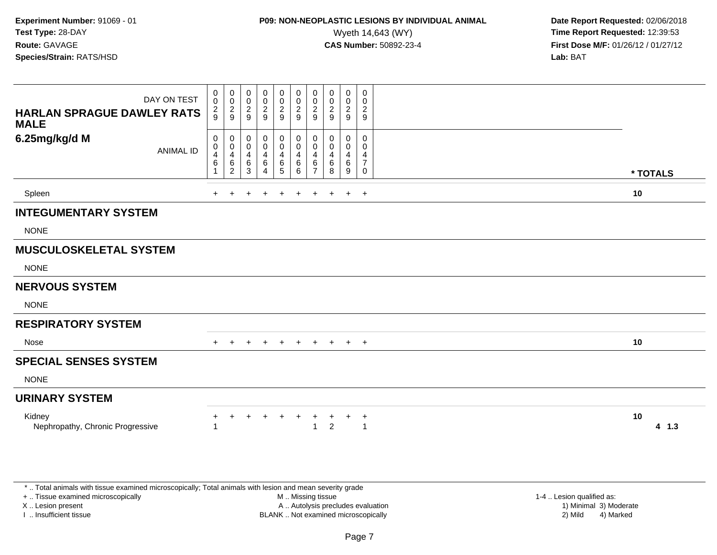### **P09: NON-NEOPLASTIC LESIONS BY INDIVIDUAL ANIMAL**<br>Wyeth 14,643 (WY) Wyeth 14,643 (WY) **Time Report Requested:** 12:39:53<br>**CAS Number:** 50892-23-4 **Time Report Requested:** 12:39:53

 **Date Report Requested:** 02/06/2018 **First Dose M/F:** 01/26/12 / 01/27/12<br>**Lab:** BAT

| DAY ON TEST<br><b>HARLAN SPRAGUE DAWLEY RATS</b><br><b>MALE</b> | $\begin{smallmatrix}0\0\0\end{smallmatrix}$<br>$\frac{2}{9}$ | $_{\rm 0}^{\rm 0}$<br>$\frac{2}{9}$                                          | 0<br>0<br>$\boldsymbol{2}$<br>9        | 0<br>$\mathbf 0$<br>$\boldsymbol{2}$<br>9   | $_0^0$<br>$\overline{2}$<br>$\boldsymbol{9}$ | $\begin{smallmatrix}0\0\0\end{smallmatrix}$<br>$\frac{2}{9}$    | 0<br>$\mathsf{O}\xspace$<br>$\overline{c}$<br>9 | $\overline{0}$<br>0<br>$\sqrt{2}$<br>$9\,$ | $\begin{smallmatrix} 0\\0 \end{smallmatrix}$<br>$\frac{2}{9}$ | $\boldsymbol{0}$<br>$\mathsf{O}\xspace$<br>$\frac{2}{9}$ |    |          |
|-----------------------------------------------------------------|--------------------------------------------------------------|------------------------------------------------------------------------------|----------------------------------------|---------------------------------------------|----------------------------------------------|-----------------------------------------------------------------|-------------------------------------------------|--------------------------------------------|---------------------------------------------------------------|----------------------------------------------------------|----|----------|
| 6.25mg/kg/d M<br><b>ANIMAL ID</b>                               | 0<br>$\pmb{0}$<br>4<br>$\,6\,$                               | 0<br>$\begin{smallmatrix}0\\4\end{smallmatrix}$<br>$\,6\,$<br>$\overline{2}$ | 0<br>0<br>$\overline{4}$<br>$\,6$<br>3 | 0<br>0<br>4<br>6<br>$\overline{\mathbf{4}}$ | 0<br>0<br>4<br>$\,6\,$<br>5                  | 0<br>$\pmb{0}$<br>$\overline{\mathbf{4}}$<br>$\,6\,$<br>$\,6\,$ | 0<br>0<br>4<br>$\,6$<br>$\overline{7}$          | 0<br>0<br>$\overline{4}$<br>6<br>8         | 0<br>0<br>$\overline{\mathbf{4}}$<br>$\,6\,$<br>9             | 0<br>0<br>4<br>$\overline{7}$<br>$\mathbf 0$             |    | * TOTALS |
| Spleen                                                          | ÷.                                                           |                                                                              |                                        |                                             |                                              |                                                                 | $\ddot{}$                                       | $\pm$                                      | $\ddot{}$                                                     | $+$                                                      | 10 |          |
| <b>INTEGUMENTARY SYSTEM</b>                                     |                                                              |                                                                              |                                        |                                             |                                              |                                                                 |                                                 |                                            |                                                               |                                                          |    |          |
| <b>NONE</b>                                                     |                                                              |                                                                              |                                        |                                             |                                              |                                                                 |                                                 |                                            |                                                               |                                                          |    |          |
| <b>MUSCULOSKELETAL SYSTEM</b>                                   |                                                              |                                                                              |                                        |                                             |                                              |                                                                 |                                                 |                                            |                                                               |                                                          |    |          |
| <b>NONE</b>                                                     |                                                              |                                                                              |                                        |                                             |                                              |                                                                 |                                                 |                                            |                                                               |                                                          |    |          |
| <b>NERVOUS SYSTEM</b>                                           |                                                              |                                                                              |                                        |                                             |                                              |                                                                 |                                                 |                                            |                                                               |                                                          |    |          |
| <b>NONE</b>                                                     |                                                              |                                                                              |                                        |                                             |                                              |                                                                 |                                                 |                                            |                                                               |                                                          |    |          |
| <b>RESPIRATORY SYSTEM</b>                                       |                                                              |                                                                              |                                        |                                             |                                              |                                                                 |                                                 |                                            |                                                               |                                                          |    |          |
| Nose                                                            | $+$                                                          | $+$                                                                          | $+$                                    | $+$                                         | $+$                                          | $+$                                                             | $+$                                             | $+$                                        | $+$                                                           | $+$                                                      | 10 |          |
| <b>SPECIAL SENSES SYSTEM</b>                                    |                                                              |                                                                              |                                        |                                             |                                              |                                                                 |                                                 |                                            |                                                               |                                                          |    |          |
| <b>NONE</b>                                                     |                                                              |                                                                              |                                        |                                             |                                              |                                                                 |                                                 |                                            |                                                               |                                                          |    |          |
| <b>URINARY SYSTEM</b>                                           |                                                              |                                                                              |                                        |                                             |                                              |                                                                 |                                                 |                                            |                                                               |                                                          |    |          |
| Kidney<br>Nephropathy, Chronic Progressive                      | $\pm$                                                        |                                                                              | $\div$                                 |                                             | $\ddot{}$                                    | $\overline{+}$                                                  | $_{+}$                                          | $\ddot{}$<br>$\overline{2}$                | ÷                                                             | $\overline{a}$<br>$\overline{\mathbf{1}}$                | 10 | 4 1.3    |

\* .. Total animals with tissue examined microscopically; Total animals with lesion and mean severity grade

+ .. Tissue examined microscopically

X .. Lesion present

I .. Insufficient tissue

 M .. Missing tissueA .. Autolysis precludes evaluation

BLANK .. Not examined microscopically 2) Mild 4) Marked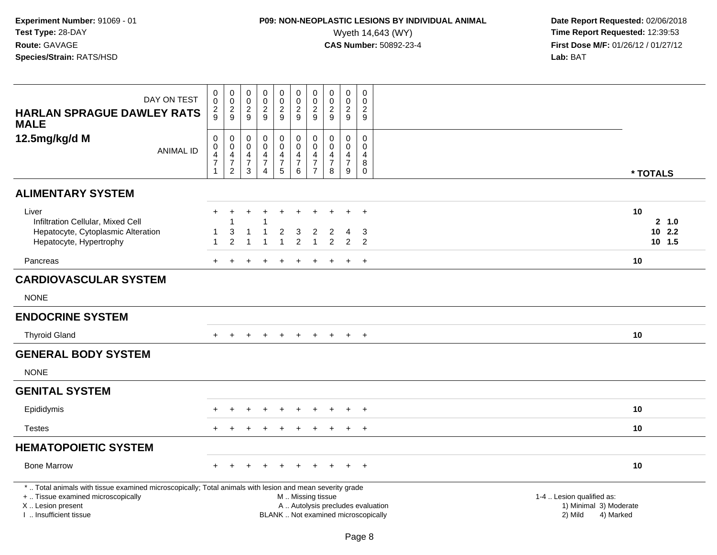# **P09: NON-NEOPLASTIC LESIONS BY INDIVIDUAL ANIMAL**<br>Wyeth 14,643 (WY) Wyeth 14,643 (WY) **Time Report Requested:** 12:39:53<br>**CAS Number:** 50892-23-4 **Time Report Requested:** 12:39:53

| DAY ON TEST<br><b>HARLAN SPRAGUE DAWLEY RATS</b>                                                                                                                                              | $\pmb{0}$<br>$\overline{0}$<br>$\frac{2}{9}$                                   | $_{\rm 0}^{\rm 0}$<br>$\frac{2}{9}$                                                               | $\mathbf 0$<br>$\mathbf 0$<br>$\frac{2}{9}$                         | $\mathbf 0$<br>$\boldsymbol{0}$<br>$\frac{2}{9}$                      | $\mathbf 0$<br>$\overline{0}$<br>$\frac{2}{9}$            | $\begin{smallmatrix}0\0\0\end{smallmatrix}$<br>$\frac{2}{9}$ | $\begin{smallmatrix}0\\0\end{smallmatrix}$<br>$\overline{\mathbf{c}}$ | $\mathsf{O}\xspace$<br>$\pmb{0}$<br>$\overline{c}$ | $\begin{smallmatrix} 0\\0\\2 \end{smallmatrix}$                   | 0<br>$\mathbf 0$<br>$\sqrt{2}$                                           |                                                                             |
|-----------------------------------------------------------------------------------------------------------------------------------------------------------------------------------------------|--------------------------------------------------------------------------------|---------------------------------------------------------------------------------------------------|---------------------------------------------------------------------|-----------------------------------------------------------------------|-----------------------------------------------------------|--------------------------------------------------------------|-----------------------------------------------------------------------|----------------------------------------------------|-------------------------------------------------------------------|--------------------------------------------------------------------------|-----------------------------------------------------------------------------|
| <b>MALE</b>                                                                                                                                                                                   |                                                                                |                                                                                                   |                                                                     |                                                                       |                                                           |                                                              | 9                                                                     | 9                                                  | 9                                                                 | 9                                                                        |                                                                             |
| 12.5mg/kg/d M<br><b>ANIMAL ID</b>                                                                                                                                                             | $\mathbf 0$<br>$\mathbf 0$<br>$\overline{4}$<br>$\overline{7}$<br>$\mathbf{1}$ | $\mathbf 0$<br>$\mathsf{O}\xspace$<br>$\overline{\mathbf{4}}$<br>$\overline{7}$<br>$\overline{2}$ | $\mathbf 0$<br>$\mathbf 0$<br>$\overline{4}$<br>$\overline{7}$<br>3 | $\mathbf 0$<br>$\mathbf 0$<br>4<br>$\boldsymbol{7}$<br>$\overline{4}$ | 0<br>$\mathsf 0$<br>$\overline{4}$<br>$\overline{7}$<br>5 | 0<br>$\mathbf 0$<br>$\frac{4}{7}$<br>6                       | $\pmb{0}$<br>$\mathbf 0$<br>4<br>$\overline{7}$<br>$\overline{7}$     | 0<br>$\mathbf 0$<br>4<br>$\boldsymbol{7}$<br>8     | $\pmb{0}$<br>$\mathbf 0$<br>$\overline{4}$<br>$\overline{7}$<br>9 | $\Omega$<br>$\Omega$<br>4<br>$\bf 8$<br>$\mathbf 0$                      | * TOTALS                                                                    |
| <b>ALIMENTARY SYSTEM</b>                                                                                                                                                                      |                                                                                |                                                                                                   |                                                                     |                                                                       |                                                           |                                                              |                                                                       |                                                    |                                                                   |                                                                          |                                                                             |
| Liver<br>Infiltration Cellular, Mixed Cell<br>Hepatocyte, Cytoplasmic Alteration<br>Hepatocyte, Hypertrophy                                                                                   | $\mathbf{1}$                                                                   | 3<br>2                                                                                            | $\mathbf{1}$                                                        | -1                                                                    | $\overline{c}$                                            | 3<br>$\overline{2}$                                          | $\overline{2}$<br>$\overline{1}$                                      | $\overline{2}$<br>$\overline{2}$                   | $\overline{4}$<br>$\overline{2}$                                  | $\div$<br>3<br>2                                                         | 10<br>2 1.0<br>102.2<br>10 1.5                                              |
| Pancreas                                                                                                                                                                                      | $+$                                                                            | $\pm$                                                                                             | $\div$                                                              |                                                                       | $\overline{ }$                                            | $\ddot{}$                                                    | $\pm$                                                                 | $\pm$                                              | $+$                                                               | $+$                                                                      | 10                                                                          |
| <b>CARDIOVASCULAR SYSTEM</b>                                                                                                                                                                  |                                                                                |                                                                                                   |                                                                     |                                                                       |                                                           |                                                              |                                                                       |                                                    |                                                                   |                                                                          |                                                                             |
| <b>NONE</b>                                                                                                                                                                                   |                                                                                |                                                                                                   |                                                                     |                                                                       |                                                           |                                                              |                                                                       |                                                    |                                                                   |                                                                          |                                                                             |
| <b>ENDOCRINE SYSTEM</b>                                                                                                                                                                       |                                                                                |                                                                                                   |                                                                     |                                                                       |                                                           |                                                              |                                                                       |                                                    |                                                                   |                                                                          |                                                                             |
| <b>Thyroid Gland</b>                                                                                                                                                                          |                                                                                |                                                                                                   |                                                                     |                                                                       |                                                           |                                                              |                                                                       |                                                    |                                                                   | $+$                                                                      | 10                                                                          |
| <b>GENERAL BODY SYSTEM</b>                                                                                                                                                                    |                                                                                |                                                                                                   |                                                                     |                                                                       |                                                           |                                                              |                                                                       |                                                    |                                                                   |                                                                          |                                                                             |
| <b>NONE</b>                                                                                                                                                                                   |                                                                                |                                                                                                   |                                                                     |                                                                       |                                                           |                                                              |                                                                       |                                                    |                                                                   |                                                                          |                                                                             |
| <b>GENITAL SYSTEM</b>                                                                                                                                                                         |                                                                                |                                                                                                   |                                                                     |                                                                       |                                                           |                                                              |                                                                       |                                                    |                                                                   |                                                                          |                                                                             |
| Epididymis                                                                                                                                                                                    |                                                                                |                                                                                                   |                                                                     |                                                                       |                                                           |                                                              |                                                                       |                                                    |                                                                   | $\ddot{}$                                                                | 10                                                                          |
| <b>Testes</b>                                                                                                                                                                                 |                                                                                |                                                                                                   |                                                                     |                                                                       |                                                           |                                                              |                                                                       |                                                    |                                                                   | $+$                                                                      | 10                                                                          |
| <b>HEMATOPOIETIC SYSTEM</b>                                                                                                                                                                   |                                                                                |                                                                                                   |                                                                     |                                                                       |                                                           |                                                              |                                                                       |                                                    |                                                                   |                                                                          |                                                                             |
| <b>Bone Marrow</b>                                                                                                                                                                            |                                                                                |                                                                                                   |                                                                     |                                                                       |                                                           |                                                              |                                                                       |                                                    |                                                                   | $\overline{+}$                                                           | 10                                                                          |
| *  Total animals with tissue examined microscopically; Total animals with lesion and mean severity grade<br>+  Tissue examined microscopically<br>X  Lesion present<br>I. Insufficient tissue |                                                                                |                                                                                                   |                                                                     |                                                                       |                                                           | M  Missing tissue                                            |                                                                       |                                                    |                                                                   | A  Autolysis precludes evaluation<br>BLANK  Not examined microscopically | 1-4  Lesion qualified as:<br>1) Minimal 3) Moderate<br>2) Mild<br>4) Marked |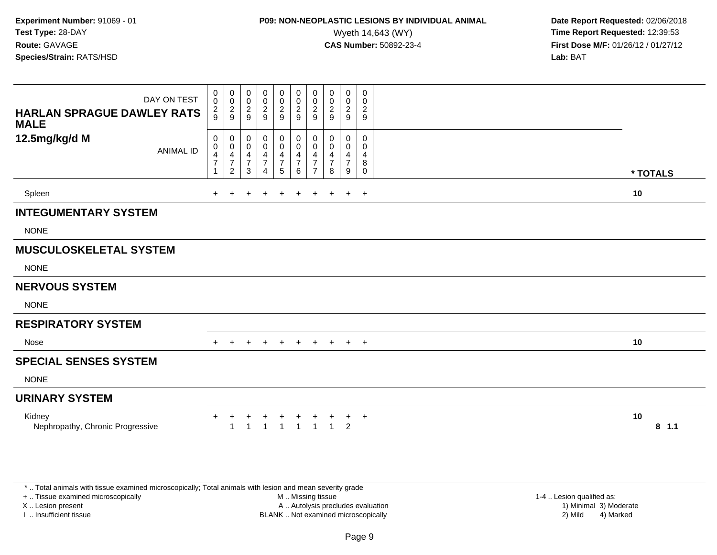### **P09: NON-NEOPLASTIC LESIONS BY INDIVIDUAL ANIMAL**<br>Wyeth 14,643 (WY) Wyeth 14,643 (WY) **Time Report Requested:** 12:39:53<br>**CAS Number:** 50892-23-4 **Time Report Requested:** 12:39:53

 **Date Report Requested:** 02/06/2018 **First Dose M/F:** 01/26/12 / 01/27/12<br>**Lab:** BAT

| DAY ON TEST<br><b>HARLAN SPRAGUE DAWLEY RATS</b><br><b>MALE</b> | 0<br>$\pmb{0}$<br>$\frac{2}{9}$                      | $\boldsymbol{0}$<br>$\mathbf 0$<br>$\frac{2}{9}$                     | 0<br>$\mathbf 0$<br>$\overline{c}$<br>9     | 0<br>$\pmb{0}$<br>$\boldsymbol{2}$<br>9                                       | 0<br>$\pmb{0}$<br>$\frac{2}{9}$      | 0<br>$\mathsf{O}\xspace$<br>$\frac{2}{9}$               | 0<br>$\pmb{0}$<br>$\overline{\mathbf{c}}$<br>9  | 0<br>$\mathbf 0$<br>$\overline{c}$<br>9         | 0<br>$\pmb{0}$<br>$\sqrt{2}$<br>$\boldsymbol{9}$ | 0<br>$\mathbf 0$<br>$\overline{2}$<br>$\boldsymbol{9}$ |          |        |
|-----------------------------------------------------------------|------------------------------------------------------|----------------------------------------------------------------------|---------------------------------------------|-------------------------------------------------------------------------------|--------------------------------------|---------------------------------------------------------|-------------------------------------------------|-------------------------------------------------|--------------------------------------------------|--------------------------------------------------------|----------|--------|
| 12.5mg/kg/d M<br><b>ANIMAL ID</b>                               | 0<br>$\begin{array}{c} 0 \\ 4 \\ 7 \end{array}$<br>1 | 0<br>$\pmb{0}$<br>$\overline{4}$<br>$\overline{7}$<br>$\overline{2}$ | 0<br>$\boldsymbol{0}$<br>$\frac{4}{7}$<br>3 | 0<br>$\pmb{0}$<br>$\overline{\mathbf{4}}$<br>$\overline{7}$<br>$\overline{A}$ | 0<br>$\pmb{0}$<br>$\frac{4}{7}$<br>5 | 0<br>$\pmb{0}$<br>$\overline{4}$<br>$\overline{7}$<br>6 | 0<br>0<br>4<br>$\overline{7}$<br>$\overline{7}$ | 0<br>0<br>$\overline{4}$<br>$\overline{7}$<br>8 | 0<br>0<br>$\overline{4}$<br>$\overline{7}$<br>9  | $\Omega$<br>0<br>$\overline{4}$<br>8<br>$\mathbf 0$    | * TOTALS |        |
| Spleen                                                          | $+$                                                  |                                                                      |                                             |                                                                               | $\ddot{}$                            | ٠                                                       | $\ddot{}$                                       | $\ddot{}$                                       | $\ddot{}$                                        | $+$                                                    | 10       |        |
| <b>INTEGUMENTARY SYSTEM</b>                                     |                                                      |                                                                      |                                             |                                                                               |                                      |                                                         |                                                 |                                                 |                                                  |                                                        |          |        |
| <b>NONE</b>                                                     |                                                      |                                                                      |                                             |                                                                               |                                      |                                                         |                                                 |                                                 |                                                  |                                                        |          |        |
| <b>MUSCULOSKELETAL SYSTEM</b>                                   |                                                      |                                                                      |                                             |                                                                               |                                      |                                                         |                                                 |                                                 |                                                  |                                                        |          |        |
| <b>NONE</b>                                                     |                                                      |                                                                      |                                             |                                                                               |                                      |                                                         |                                                 |                                                 |                                                  |                                                        |          |        |
| <b>NERVOUS SYSTEM</b>                                           |                                                      |                                                                      |                                             |                                                                               |                                      |                                                         |                                                 |                                                 |                                                  |                                                        |          |        |
| <b>NONE</b>                                                     |                                                      |                                                                      |                                             |                                                                               |                                      |                                                         |                                                 |                                                 |                                                  |                                                        |          |        |
| <b>RESPIRATORY SYSTEM</b>                                       |                                                      |                                                                      |                                             |                                                                               |                                      |                                                         |                                                 |                                                 |                                                  |                                                        |          |        |
| Nose                                                            | $+$                                                  | $\ddot{}$                                                            | $\ddot{}$                                   | $+$                                                                           | $+$                                  | $+$                                                     | $+$                                             | $+$                                             | $+$ $+$                                          |                                                        | 10       |        |
| <b>SPECIAL SENSES SYSTEM</b>                                    |                                                      |                                                                      |                                             |                                                                               |                                      |                                                         |                                                 |                                                 |                                                  |                                                        |          |        |
| <b>NONE</b>                                                     |                                                      |                                                                      |                                             |                                                                               |                                      |                                                         |                                                 |                                                 |                                                  |                                                        |          |        |
| <b>URINARY SYSTEM</b>                                           |                                                      |                                                                      |                                             |                                                                               |                                      |                                                         |                                                 |                                                 |                                                  |                                                        |          |        |
| Kidney<br>Nephropathy, Chronic Progressive                      | $+$                                                  | +                                                                    | $\ddot{}$                                   | $\ddot{}$<br>$\overline{1}$                                                   | $\ddot{}$<br>$\overline{1}$          | $\ddot{}$<br>$\overline{1}$                             | $\overline{1}$                                  | +<br>$\overline{1}$                             | $+$<br>$\overline{2}$                            | $+$                                                    | 10       | 8, 1.1 |

\* .. Total animals with tissue examined microscopically; Total animals with lesion and mean severity grade

+ .. Tissue examined microscopically

X .. Lesion present

I .. Insufficient tissue

 M .. Missing tissueA .. Autolysis precludes evaluation

BLANK .. Not examined microscopically 2) Mild 4) Marked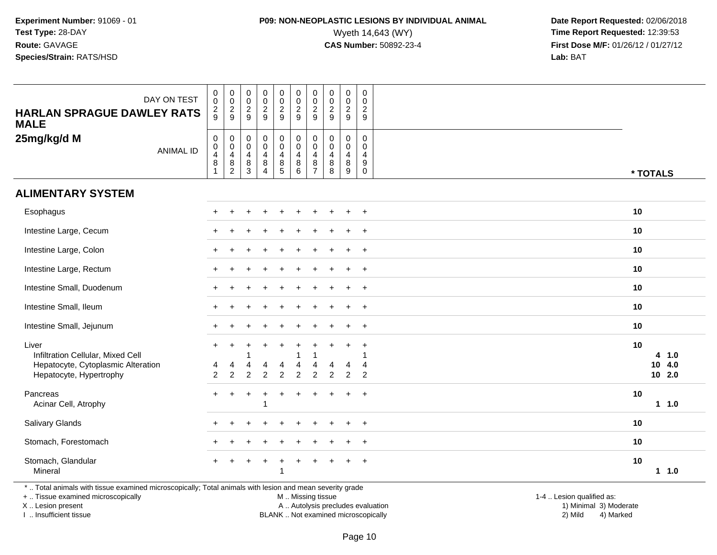# **P09: NON-NEOPLASTIC LESIONS BY INDIVIDUAL ANIMAL**<br>Wyeth 14,643 (WY) Wyeth 14,643 (WY) **Time Report Requested:** 12:39:53<br>**CAS Number:** 50892-23-4 **Time Report Requested:** 12:39:53

 **Date Report Requested:** 02/06/2018 **First Dose M/F:** 01/26/12 / 01/27/12<br>**Lab:** BAT

| DAY ON TEST<br><b>HARLAN SPRAGUE DAWLEY RATS</b><br><b>MALE</b>                                                                                | $_{\rm 0}^{\rm 0}$<br>$\frac{2}{9}$                       | $_{\rm 0}^{\rm 0}$<br>$\frac{2}{9}$                                                    | $\pmb{0}$<br>$\pmb{0}$<br>$\frac{2}{9}$                    | $\pmb{0}$<br>$\mathbf 0$<br>$\boldsymbol{2}$<br>9                                          | 0<br>$\boldsymbol{0}$<br>$\frac{2}{9}$                         | $\begin{array}{c} 0 \\ 0 \\ 2 \\ 9 \end{array}$ | $\pmb{0}$<br>$\mathbf 0$<br>$\frac{2}{9}$                                         | $\pmb{0}$<br>$\pmb{0}$<br>$\overline{\mathbf{c}}$<br>9    | $\pmb{0}$<br>$\frac{0}{2}$                                                        | 0<br>$\mathbf 0$<br>$\sqrt{2}$<br>9                                           |                           |          |                           |  |
|------------------------------------------------------------------------------------------------------------------------------------------------|-----------------------------------------------------------|----------------------------------------------------------------------------------------|------------------------------------------------------------|--------------------------------------------------------------------------------------------|----------------------------------------------------------------|-------------------------------------------------|-----------------------------------------------------------------------------------|-----------------------------------------------------------|-----------------------------------------------------------------------------------|-------------------------------------------------------------------------------|---------------------------|----------|---------------------------|--|
| 25mg/kg/d M<br><b>ANIMAL ID</b>                                                                                                                | $\mathbf 0$<br>$\frac{0}{4}$<br>$\bf 8$<br>$\overline{1}$ | $\mathbf 0$<br>$\ddot{\mathbf{0}}$<br>$\overline{\mathbf{4}}$<br>$\bf 8$<br>$\sqrt{2}$ | $\mathbf 0$<br>$\pmb{0}$<br>$\overline{4}$<br>$\bf 8$<br>3 | $\mathbf 0$<br>$\ddot{\mathbf{0}}$<br>$\overline{\mathbf{4}}$<br>$\bf 8$<br>$\overline{4}$ | 0<br>$\overline{0}$<br>$\overline{\mathbf{4}}$<br>$\bf 8$<br>5 | $_{\rm 0}^{\rm 0}$<br>$\frac{4}{8}$<br>6        | $\mathbf 0$<br>$\ddot{\mathbf{0}}$<br>$\overline{a}$<br>$\bf 8$<br>$\overline{7}$ | $\pmb{0}$<br>0<br>$\overline{\mathbf{4}}$<br>$\bf 8$<br>8 | $\pmb{0}$<br>$\ddot{\mathbf{0}}$<br>$\overline{4}$<br>$\bf 8$<br>$\boldsymbol{9}$ | 0<br>$\mathbf 0$<br>$\overline{4}$<br>$\boldsymbol{9}$<br>$\mathsf{O}\xspace$ |                           | * TOTALS |                           |  |
| <b>ALIMENTARY SYSTEM</b>                                                                                                                       |                                                           |                                                                                        |                                                            |                                                                                            |                                                                |                                                 |                                                                                   |                                                           |                                                                                   |                                                                               |                           |          |                           |  |
| Esophagus                                                                                                                                      |                                                           |                                                                                        |                                                            |                                                                                            |                                                                |                                                 |                                                                                   |                                                           |                                                                                   | $\ddot{}$                                                                     |                           | 10       |                           |  |
| Intestine Large, Cecum                                                                                                                         |                                                           |                                                                                        |                                                            |                                                                                            |                                                                |                                                 |                                                                                   |                                                           |                                                                                   | $\overline{ }$                                                                |                           | 10       |                           |  |
| Intestine Large, Colon                                                                                                                         |                                                           |                                                                                        |                                                            |                                                                                            |                                                                |                                                 |                                                                                   |                                                           |                                                                                   | $+$                                                                           |                           | 10       |                           |  |
| Intestine Large, Rectum                                                                                                                        |                                                           |                                                                                        |                                                            |                                                                                            |                                                                |                                                 |                                                                                   |                                                           |                                                                                   | $\ddot{}$                                                                     |                           | 10       |                           |  |
| Intestine Small, Duodenum                                                                                                                      |                                                           |                                                                                        |                                                            |                                                                                            |                                                                |                                                 |                                                                                   |                                                           |                                                                                   | $\overline{+}$                                                                |                           | 10       |                           |  |
| Intestine Small, Ileum                                                                                                                         |                                                           |                                                                                        |                                                            |                                                                                            |                                                                |                                                 |                                                                                   |                                                           |                                                                                   | $\div$                                                                        |                           | 10       |                           |  |
| Intestine Small, Jejunum                                                                                                                       |                                                           |                                                                                        |                                                            |                                                                                            |                                                                |                                                 |                                                                                   |                                                           |                                                                                   | $\ddot{}$                                                                     |                           | 10       |                           |  |
| Liver<br>Infiltration Cellular, Mixed Cell<br>Hepatocyte, Cytoplasmic Alteration<br>Hepatocyte, Hypertrophy                                    | $+$<br>$\overline{2}$                                     | $\ddot{}$<br>$\overline{c}$                                                            | $\overline{2}$                                             | $\overline{2}$                                                                             | $\overline{c}$                                                 | $\overline{2}$                                  | $\overline{2}$                                                                    | $\overline{2}$                                            | $\overline{2}$                                                                    | $\ddot{}$<br>1<br>4<br>$\overline{2}$                                         |                           | 10       | 4, 1.0<br>10 4.0<br>102.0 |  |
| Pancreas<br>Acinar Cell, Atrophy                                                                                                               | $+$                                                       | $\ddot{}$                                                                              | $\ddot{}$                                                  | $\ddot{}$                                                                                  | $\ddot{}$                                                      | $\div$                                          | $\div$                                                                            |                                                           | $\ddot{}$                                                                         | $+$                                                                           |                           | 10       | 11.0                      |  |
| Salivary Glands                                                                                                                                |                                                           |                                                                                        |                                                            |                                                                                            |                                                                |                                                 |                                                                                   |                                                           |                                                                                   | $+$                                                                           |                           | 10       |                           |  |
| Stomach, Forestomach                                                                                                                           |                                                           |                                                                                        |                                                            |                                                                                            |                                                                |                                                 |                                                                                   |                                                           |                                                                                   | $\overline{1}$                                                                |                           | 10       |                           |  |
| Stomach, Glandular<br>Mineral                                                                                                                  |                                                           |                                                                                        |                                                            |                                                                                            | $\ddot{}$                                                      |                                                 |                                                                                   |                                                           |                                                                                   | $+$                                                                           |                           | 10       | 11.0                      |  |
| *  Total animals with tissue examined microscopically; Total animals with lesion and mean severity grade<br>+  Tissue examined microscopically |                                                           |                                                                                        |                                                            |                                                                                            |                                                                | M  Missing tissue                               |                                                                                   |                                                           |                                                                                   |                                                                               | 1-4  Lesion qualified as: |          |                           |  |

X .. Lesion present

I .. Insufficient tissue

BLANK .. Not examined microscopically

A .. Autolysis precludes evaluation and the series of the series of the series of the series of the series of the series of the series of the series of the series of the series of the series of the series of the series of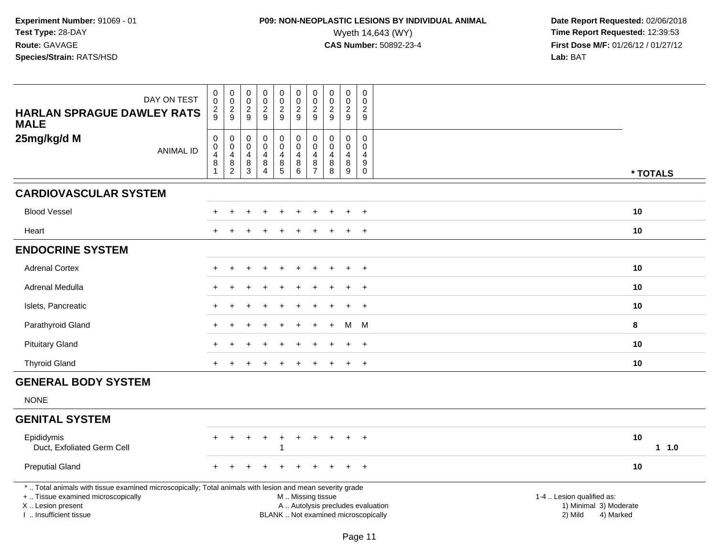# **P09: NON-NEOPLASTIC LESIONS BY INDIVIDUAL ANIMAL**<br>Wyeth 14,643 (WY) Wyeth 14,643 (WY) **Time Report Requested:** 12:39:53<br>**CAS Number:** 50892-23-4 **Time Report Requested:** 12:39:53

| <b>HARLAN SPRAGUE DAWLEY RATS</b><br><b>MALE</b>                                                                                                                                              | DAY ON TEST      | $\mathbf 0$<br>$\overline{0}$<br>$\frac{2}{9}$       | $\pmb{0}$<br>$\ddot{\mathbf{0}}$<br>$\frac{2}{9}$  | $\begin{smallmatrix}0\\0\end{smallmatrix}$<br>$\sqrt{2}$<br>$9\,$ | $_{\rm 0}^{\rm 0}$<br>$\frac{2}{9}$              | $\pmb{0}$<br>$\ddot{\mathbf{0}}$<br>$\frac{2}{9}$                  | $_{\rm 0}^{\rm 0}$<br>$\overline{c}$<br>9                                                     | $\mathbf 0$<br>$\boldsymbol{0}$<br>$\sqrt{2}$<br>9            | $\pmb{0}$<br>$\pmb{0}$<br>$\overline{c}$<br>9          | 0<br>$\mathbf 0$<br>$\overline{2}$<br>9                         | $\mathbf 0$<br>$\Omega$<br>$\overline{2}$<br>9                     |                                                                             |            |
|-----------------------------------------------------------------------------------------------------------------------------------------------------------------------------------------------|------------------|------------------------------------------------------|----------------------------------------------------|-------------------------------------------------------------------|--------------------------------------------------|--------------------------------------------------------------------|-----------------------------------------------------------------------------------------------|---------------------------------------------------------------|--------------------------------------------------------|-----------------------------------------------------------------|--------------------------------------------------------------------|-----------------------------------------------------------------------------|------------|
| 25mg/kg/d M                                                                                                                                                                                   | <b>ANIMAL ID</b> | $\pmb{0}$<br>$\mathbf 0$<br>$\overline{4}$<br>8<br>1 | 0<br>$\mathsf 0$<br>4<br>$\bf 8$<br>$\overline{2}$ | 0<br>$\pmb{0}$<br>4<br>$\bf 8$<br>3                               | 0<br>$\pmb{0}$<br>4<br>$\bf 8$<br>$\overline{4}$ | 0<br>$\overline{0}$<br>$\overline{4}$<br>$\bf 8$<br>$\overline{5}$ | $\mathbf 0$<br>$\overline{0}$<br>$\overline{4}$<br>$\, 8$<br>$6\phantom{1}6$                  | $\mathbf 0$<br>$\mathbf{0}$<br>4<br>$\bf 8$<br>$\overline{7}$ | $\pmb{0}$<br>$\Omega$<br>$\overline{4}$<br>$\bf8$<br>8 | 0<br>$\mathbf 0$<br>$\overline{4}$<br>$\bf 8$<br>$\overline{9}$ | 0<br>$\Omega$<br>$\overline{4}$<br>$\boldsymbol{9}$<br>$\mathbf 0$ |                                                                             | * TOTALS   |
| <b>CARDIOVASCULAR SYSTEM</b>                                                                                                                                                                  |                  |                                                      |                                                    |                                                                   |                                                  |                                                                    |                                                                                               |                                                               |                                                        |                                                                 |                                                                    |                                                                             |            |
| <b>Blood Vessel</b>                                                                                                                                                                           |                  |                                                      |                                                    |                                                                   |                                                  |                                                                    |                                                                                               |                                                               |                                                        |                                                                 | $\overline{+}$                                                     |                                                                             | 10         |
| Heart                                                                                                                                                                                         |                  |                                                      |                                                    |                                                                   |                                                  |                                                                    |                                                                                               |                                                               |                                                        |                                                                 | $\overline{+}$                                                     |                                                                             | 10         |
| <b>ENDOCRINE SYSTEM</b>                                                                                                                                                                       |                  |                                                      |                                                    |                                                                   |                                                  |                                                                    |                                                                                               |                                                               |                                                        |                                                                 |                                                                    |                                                                             |            |
| <b>Adrenal Cortex</b>                                                                                                                                                                         |                  |                                                      |                                                    |                                                                   |                                                  |                                                                    |                                                                                               |                                                               |                                                        |                                                                 | $+$                                                                |                                                                             | 10         |
| Adrenal Medulla                                                                                                                                                                               |                  |                                                      |                                                    |                                                                   |                                                  |                                                                    |                                                                                               |                                                               |                                                        | $\div$                                                          | $\ddot{}$                                                          |                                                                             | 10         |
| Islets, Pancreatic                                                                                                                                                                            |                  |                                                      |                                                    |                                                                   |                                                  |                                                                    |                                                                                               |                                                               |                                                        |                                                                 | $\ddot{}$                                                          |                                                                             | 10         |
| Parathyroid Gland                                                                                                                                                                             |                  |                                                      |                                                    |                                                                   |                                                  |                                                                    |                                                                                               |                                                               |                                                        | м                                                               | M                                                                  |                                                                             | 8          |
| <b>Pituitary Gland</b>                                                                                                                                                                        |                  |                                                      |                                                    |                                                                   |                                                  |                                                                    |                                                                                               |                                                               |                                                        | $\ddot{}$                                                       | $+$                                                                |                                                                             | 10         |
| <b>Thyroid Gland</b>                                                                                                                                                                          |                  |                                                      |                                                    |                                                                   |                                                  |                                                                    |                                                                                               |                                                               |                                                        |                                                                 | $\ddot{}$                                                          |                                                                             | 10         |
| <b>GENERAL BODY SYSTEM</b>                                                                                                                                                                    |                  |                                                      |                                                    |                                                                   |                                                  |                                                                    |                                                                                               |                                                               |                                                        |                                                                 |                                                                    |                                                                             |            |
| <b>NONE</b>                                                                                                                                                                                   |                  |                                                      |                                                    |                                                                   |                                                  |                                                                    |                                                                                               |                                                               |                                                        |                                                                 |                                                                    |                                                                             |            |
| <b>GENITAL SYSTEM</b>                                                                                                                                                                         |                  |                                                      |                                                    |                                                                   |                                                  |                                                                    |                                                                                               |                                                               |                                                        |                                                                 |                                                                    |                                                                             |            |
| Epididymis<br>Duct, Exfoliated Germ Cell                                                                                                                                                      |                  |                                                      |                                                    |                                                                   | $\ddot{}$                                        | ÷                                                                  |                                                                                               |                                                               |                                                        |                                                                 | $+$                                                                |                                                                             | 10<br>11.0 |
| <b>Preputial Gland</b>                                                                                                                                                                        |                  |                                                      |                                                    |                                                                   |                                                  |                                                                    |                                                                                               |                                                               |                                                        |                                                                 | $\ddot{}$                                                          |                                                                             | 10         |
| *  Total animals with tissue examined microscopically; Total animals with lesion and mean severity grade<br>+  Tissue examined microscopically<br>X  Lesion present<br>I  Insufficient tissue |                  |                                                      |                                                    |                                                                   |                                                  |                                                                    | M  Missing tissue<br>A  Autolysis precludes evaluation<br>BLANK  Not examined microscopically |                                                               |                                                        |                                                                 |                                                                    | 1-4  Lesion qualified as:<br>1) Minimal 3) Moderate<br>2) Mild<br>4) Marked |            |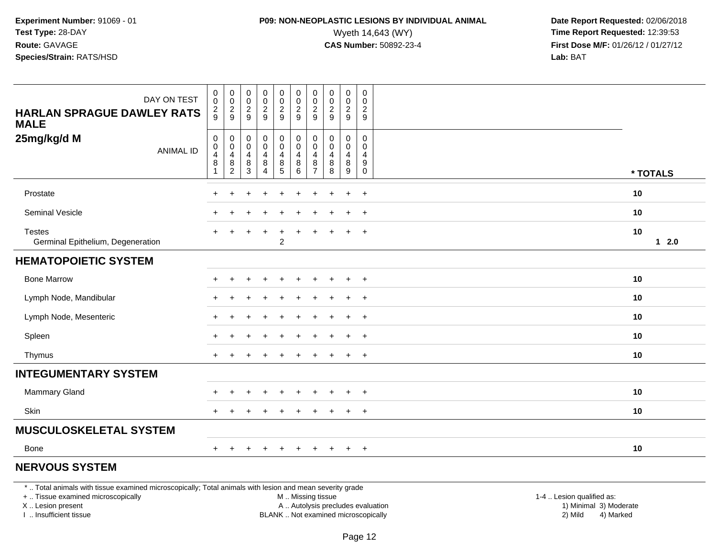### **P09: NON-NEOPLASTIC LESIONS BY INDIVIDUAL ANIMAL**<br>Wyeth 14,643 (WY) Wyeth 14,643 (WY) **Time Report Requested:** 12:39:53<br>**CAS Number:** 50892-23-4 **Time Report Requested:** 12:39:53

 **Date Report Requested:** 02/06/2018 **First Dose M/F:** 01/26/12 / 01/27/12<br>**Lab:** BAT **Lab:** BAT

| DAY ON TEST<br><b>HARLAN SPRAGUE DAWLEY RATS</b><br><b>MALE</b> | $\mathbf 0$<br>$\mathbf 0$<br>$\frac{2}{9}$      | $\begin{array}{c} 0 \\ 0 \\ 2 \\ 9 \end{array}$                                   | $\begin{array}{c} 0 \\ 0 \\ 2 \\ 9 \end{array}$      | $\begin{array}{c} 0 \\ 0 \\ 2 \\ 9 \end{array}$                          | 00029                                                                             | $\begin{smallmatrix} 0\\0\\2 \end{smallmatrix}$<br>9                   | $\pmb{0}$<br>$\mathbf 0$<br>$\overline{c}$<br>9 | $\begin{array}{c} 0 \\ 0 \\ 2 \\ 9 \end{array}$ | $\begin{smallmatrix} 0\\0\\2 \end{smallmatrix}$<br>9    | $\mathsf{O}$<br>0<br>$\overline{2}$<br>9 |                     |
|-----------------------------------------------------------------|--------------------------------------------------|-----------------------------------------------------------------------------------|------------------------------------------------------|--------------------------------------------------------------------------|-----------------------------------------------------------------------------------|------------------------------------------------------------------------|-------------------------------------------------|-------------------------------------------------|---------------------------------------------------------|------------------------------------------|---------------------|
| 25mg/kg/d M<br><b>ANIMAL ID</b>                                 | $\pmb{0}$<br>$\pmb{0}$<br>4<br>8<br>$\mathbf{1}$ | $\mathbf 0$<br>$\mathsf{O}\xspace$<br>$\overline{4}$<br>$\bf 8$<br>$\overline{2}$ | $\pmb{0}$<br>$\mathbf 0$<br>$\overline{4}$<br>$^8_3$ | $\begin{smallmatrix} 0\\0 \end{smallmatrix}$<br>$\overline{4}$<br>$^8_4$ | $\pmb{0}$<br>$\pmb{0}$<br>$\overline{4}$<br>$\begin{array}{c} 8 \\ 5 \end{array}$ | $\pmb{0}$<br>$\mathbf 0$<br>$\begin{array}{c} 4 \\ 8 \\ 6 \end{array}$ | 0<br>$\mathbf 0$<br>4<br>8<br>$\overline{7}$    | $\pmb{0}$<br>$\pmb{0}$<br>4<br>$\bf8$<br>8      | 0<br>$\pmb{0}$<br>$\overline{4}$<br>8<br>$\overline{9}$ | 0<br>$\mathbf 0$<br>4<br>9<br>0          | * TOTALS            |
| Prostate                                                        |                                                  |                                                                                   |                                                      |                                                                          |                                                                                   |                                                                        |                                                 |                                                 | $\ddot{}$                                               | $\overline{+}$                           | 10                  |
| <b>Seminal Vesicle</b>                                          |                                                  |                                                                                   |                                                      |                                                                          |                                                                                   |                                                                        |                                                 |                                                 | $\ddot{}$                                               | $+$                                      | 10                  |
| <b>Testes</b><br>Germinal Epithelium, Degeneration              | $+$                                              | $\ddot{}$                                                                         |                                                      | $\ddot{}$                                                                | $\ddot{}$<br>$\overline{2}$                                                       |                                                                        |                                                 |                                                 | $\ddot{}$                                               | $+$                                      | 10<br>$1 \quad 2.0$ |
| <b>HEMATOPOIETIC SYSTEM</b>                                     |                                                  |                                                                                   |                                                      |                                                                          |                                                                                   |                                                                        |                                                 |                                                 |                                                         |                                          |                     |
| <b>Bone Marrow</b>                                              |                                                  | ÷                                                                                 | $\pm$                                                | $\ddot{}$                                                                | $\ddot{}$                                                                         | $\ddot{}$                                                              | $\ddot{}$                                       | $\pm$                                           | $+$                                                     | $+$                                      | 10                  |
| Lymph Node, Mandibular                                          |                                                  |                                                                                   |                                                      |                                                                          | +                                                                                 |                                                                        |                                                 |                                                 | $\pm$                                                   | $+$                                      | 10                  |
| Lymph Node, Mesenteric                                          |                                                  |                                                                                   |                                                      |                                                                          |                                                                                   |                                                                        |                                                 |                                                 | $+$                                                     | $+$                                      | 10                  |
| Spleen                                                          |                                                  |                                                                                   |                                                      |                                                                          |                                                                                   |                                                                        |                                                 |                                                 | $\ddot{}$                                               | $\overline{+}$                           | 10                  |
| Thymus                                                          | $+$                                              |                                                                                   |                                                      |                                                                          |                                                                                   |                                                                        |                                                 |                                                 | $\ddot{}$                                               | $+$                                      | 10                  |
| <b>INTEGUMENTARY SYSTEM</b>                                     |                                                  |                                                                                   |                                                      |                                                                          |                                                                                   |                                                                        |                                                 |                                                 |                                                         |                                          |                     |
| <b>Mammary Gland</b>                                            |                                                  |                                                                                   |                                                      |                                                                          |                                                                                   |                                                                        |                                                 |                                                 |                                                         | $\ddot{}$                                | 10                  |
| Skin                                                            |                                                  |                                                                                   |                                                      |                                                                          |                                                                                   |                                                                        |                                                 |                                                 | $\ddot{}$                                               | $+$                                      | 10                  |
| <b>MUSCULOSKELETAL SYSTEM</b>                                   |                                                  |                                                                                   |                                                      |                                                                          |                                                                                   |                                                                        |                                                 |                                                 |                                                         |                                          |                     |
| Bone                                                            | $+$                                              |                                                                                   |                                                      | $\div$                                                                   | $\pm$                                                                             | $\ddot{}$                                                              | $\pm$                                           | $\pm$                                           | $+$                                                     | $+$                                      | 10                  |

#### **NERVOUS SYSTEM**

\* .. Total animals with tissue examined microscopically; Total animals with lesion and mean severity grade

+ .. Tissue examined microscopically

X .. Lesion present

I .. Insufficient tissue

M .. Missing tissue

A .. Autolysis precludes evaluation

BLANK .. Not examined microscopically 2) Mild 4) Marked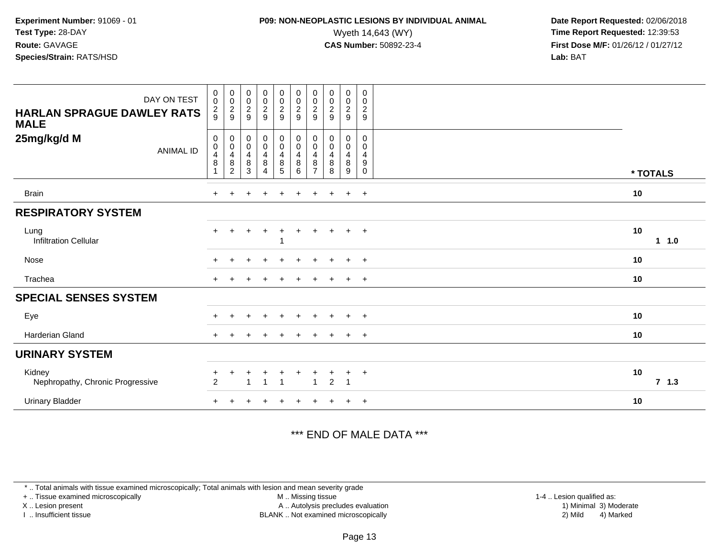### **P09: NON-NEOPLASTIC LESIONS BY INDIVIDUAL ANIMAL**<br>Wyeth 14,643 (WY) Wyeth 14,643 (WY) **Time Report Requested:** 12:39:53<br>**CAS Number:** 50892-23-4 **Time Report Requested:** 12:39:53

 **Date Report Requested:** 02/06/2018 **First Dose M/F:** 01/26/12 / 01/27/12<br>**Lab:** BAT **Lab:** BAT

| DAY ON TEST<br><b>HARLAN SPRAGUE DAWLEY RATS</b><br><b>MALE</b> | $\begin{smallmatrix}0\\0\end{smallmatrix}$<br>$\frac{2}{9}$                | $\begin{smallmatrix} 0\\0 \end{smallmatrix}$<br>$\frac{2}{9}$ | $_{\rm 0}^{\rm 0}$<br>$\frac{2}{9}$                             | $\begin{smallmatrix} 0\\0 \end{smallmatrix}$<br>$\frac{2}{9}$ | $\begin{array}{c} 0 \\ 0 \\ 2 \\ 9 \end{array}$                   | $_{\rm 0}^{\rm 0}$<br>$\frac{2}{9}$                       | $\pmb{0}$<br>$\mathbf 0$<br>$\sqrt{2}$<br>9                   | $\pmb{0}$<br>$\pmb{0}$<br>$\boldsymbol{2}$<br>9 | $\boldsymbol{0}$<br>$\mathbf 0$<br>$\frac{2}{9}$             | $\boldsymbol{0}$<br>$\mathbf 0$<br>$\frac{2}{9}$ |              |
|-----------------------------------------------------------------|----------------------------------------------------------------------------|---------------------------------------------------------------|-----------------------------------------------------------------|---------------------------------------------------------------|-------------------------------------------------------------------|-----------------------------------------------------------|---------------------------------------------------------------|-------------------------------------------------|--------------------------------------------------------------|--------------------------------------------------|--------------|
| 25mg/kg/d M<br><b>ANIMAL ID</b>                                 | $\,0\,$<br>$\pmb{0}$<br>$\overline{\mathbf{4}}$<br>$\,8\,$<br>$\mathbf{1}$ | 0<br>$\mathsf 0$<br>4<br>$\, 8$<br>$\overline{c}$             | $\,0\,$<br>$\pmb{0}$<br>$\overline{\mathbf{4}}$<br>$\bf 8$<br>3 | $_{\rm 0}^{\rm 0}$<br>$\overline{4}$<br>8<br>$\overline{4}$   | $_{\rm 0}^{\rm 0}$<br>$\overline{\mathbf{4}}$<br>$\bf 8$<br>$5\,$ | $_{\rm 0}^{\rm 0}$<br>$\overline{4}$<br>$\, 8$<br>$\,6\,$ | 0<br>$\pmb{0}$<br>$\overline{4}$<br>$\bf 8$<br>$\overline{7}$ | 0<br>$\mathbf 0$<br>$\overline{4}$<br>8<br>8    | 0<br>$\mathsf{O}\xspace$<br>4<br>$\bf 8$<br>$\boldsymbol{9}$ | 0<br>0<br>4<br>$\boldsymbol{9}$<br>0             | * TOTALS     |
| <b>Brain</b>                                                    |                                                                            |                                                               |                                                                 |                                                               |                                                                   |                                                           |                                                               |                                                 | $\ddot{}$                                                    | $+$                                              | 10           |
| <b>RESPIRATORY SYSTEM</b>                                       |                                                                            |                                                               |                                                                 |                                                               |                                                                   |                                                           |                                                               |                                                 |                                                              |                                                  |              |
| Lung<br><b>Infiltration Cellular</b>                            |                                                                            |                                                               |                                                                 | $\overline{+}$                                                | $\ddot{}$                                                         |                                                           | +                                                             |                                                 | $+$                                                          | $+$                                              | 10<br>1 1.0  |
| Nose                                                            | $\div$                                                                     |                                                               |                                                                 | $\overline{ }$                                                | $\pm$                                                             | $\div$                                                    | $\ddot{}$                                                     | $\pm$                                           | $\ddot{}$                                                    | $+$                                              | 10           |
| Trachea                                                         |                                                                            |                                                               |                                                                 |                                                               |                                                                   |                                                           |                                                               |                                                 | $\pm$                                                        | $+$                                              | 10           |
| <b>SPECIAL SENSES SYSTEM</b>                                    |                                                                            |                                                               |                                                                 |                                                               |                                                                   |                                                           |                                                               |                                                 |                                                              |                                                  |              |
| Eye                                                             |                                                                            |                                                               |                                                                 |                                                               |                                                                   |                                                           |                                                               |                                                 | ÷                                                            | $+$                                              | 10           |
| Harderian Gland                                                 | $\pm$                                                                      |                                                               |                                                                 |                                                               | $\div$                                                            |                                                           | ÷                                                             |                                                 | $\ddot{}$                                                    | $+$                                              | 10           |
| <b>URINARY SYSTEM</b>                                           |                                                                            |                                                               |                                                                 |                                                               |                                                                   |                                                           |                                                               |                                                 |                                                              |                                                  |              |
| Kidney<br>Nephropathy, Chronic Progressive                      | $\ddot{}$<br>$\overline{2}$                                                | ٠                                                             | $\ddot{}$                                                       | $\overline{+}$<br>$\overline{1}$                              | $\ddot{}$<br>$\overline{1}$                                       | $\ddot{}$                                                 | +<br>$\overline{1}$                                           | $\overline{2}$                                  | $\ddot{}$<br>$\overline{1}$                                  | $+$                                              | 10<br>7, 1.3 |
| <b>Urinary Bladder</b>                                          |                                                                            |                                                               |                                                                 |                                                               |                                                                   |                                                           |                                                               |                                                 | $\pm$                                                        | $+$                                              | 10           |

#### \*\*\* END OF MALE DATA \*\*\*

\* .. Total animals with tissue examined microscopically; Total animals with lesion and mean severity grade

+ .. Tissue examined microscopically

X .. Lesion present

I .. Insufficient tissue

 M .. Missing tissueA .. Autolysis precludes evaluation

BLANK .. Not examined microscopically 2) Mild 4) Marked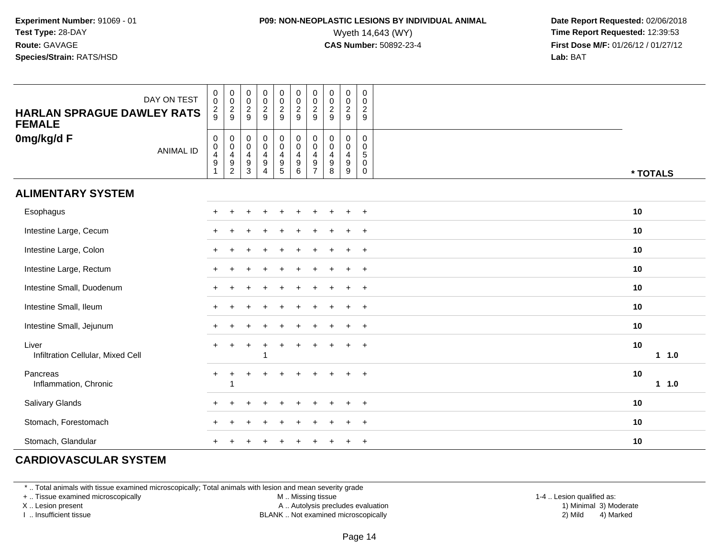### **P09: NON-NEOPLASTIC LESIONS BY INDIVIDUAL ANIMAL**<br>Wyeth 14,643 (WY) Wyeth 14,643 (WY) **Time Report Requested:** 12:39:53<br>**CAS Number:** 50892-23-4 **Time Report Requested:** 12:39:53

 **Date Report Requested:** 02/06/2018 **First Dose M/F:** 01/26/12 / 01/27/12<br>**Lab:** BAT

| <b>HARLAN SPRAGUE DAWLEY RATS</b><br><b>FEMALE</b> | DAY ON TEST      | $\pmb{0}$<br>$\boldsymbol{0}$<br>$\frac{2}{9}$                        | 0<br>$\,0\,$<br>$\frac{2}{9}$                                                           | $\begin{smallmatrix} 0\\0 \end{smallmatrix}$<br>$\frac{2}{9}$       | 00029                                                                               | $\begin{array}{c} 0 \\ 0 \\ 2 \\ 9 \end{array}$                               | $\begin{smallmatrix}0\\0\end{smallmatrix}$<br>$\overline{2}$<br>$9\,$  | $\begin{smallmatrix} 0\\0 \end{smallmatrix}$<br>$\overline{2}$<br>$\mathsf g$ | $\begin{array}{c} 0 \\ 0 \\ 2 \\ 9 \end{array}$                                                  | $\begin{smallmatrix} 0\\0 \end{smallmatrix}$<br>$\overline{2}$<br>9 | $\boldsymbol{0}$<br>$\mathbf 0$<br>$\overline{c}$<br>9 |            |
|----------------------------------------------------|------------------|-----------------------------------------------------------------------|-----------------------------------------------------------------------------------------|---------------------------------------------------------------------|-------------------------------------------------------------------------------------|-------------------------------------------------------------------------------|------------------------------------------------------------------------|-------------------------------------------------------------------------------|--------------------------------------------------------------------------------------------------|---------------------------------------------------------------------|--------------------------------------------------------|------------|
| 0mg/kg/d F                                         | <b>ANIMAL ID</b> | $\pmb{0}$<br>$\begin{smallmatrix}0\\4\end{smallmatrix}$<br>$9\,$<br>1 | $\pmb{0}$<br>$\pmb{0}$<br>$\overline{\mathbf{4}}$<br>$\boldsymbol{9}$<br>$\overline{2}$ | 0<br>$\mathsf{O}\xspace$<br>$\overline{4}$<br>$\boldsymbol{9}$<br>3 | $_{\rm 0}^{\rm 0}$<br>$\overline{\mathbf{4}}$<br>$\boldsymbol{9}$<br>$\overline{4}$ | $_{\rm 0}^{\rm 0}$<br>$\overline{4}$<br>$\begin{array}{c} 9 \\ 5 \end{array}$ | $_{\rm 0}^{\rm 0}$<br>$\overline{\mathbf{4}}$<br>$\boldsymbol{9}$<br>6 | 0<br>$\mathbf 0$<br>4<br>9<br>$\overline{7}$                                  | $\begin{smallmatrix} 0\\0 \end{smallmatrix}$<br>$\overline{\mathbf{4}}$<br>$\boldsymbol{9}$<br>8 | $\pmb{0}$<br>$\mathsf{O}\xspace$<br>$\overline{4}$<br>9<br>9        | 0<br>0<br>5<br>0<br>$\mathbf 0$                        | * TOTALS   |
| <b>ALIMENTARY SYSTEM</b>                           |                  |                                                                       |                                                                                         |                                                                     |                                                                                     |                                                                               |                                                                        |                                                                               |                                                                                                  |                                                                     |                                                        |            |
| Esophagus                                          |                  |                                                                       |                                                                                         |                                                                     |                                                                                     |                                                                               |                                                                        |                                                                               |                                                                                                  |                                                                     | $\div$                                                 | 10         |
| Intestine Large, Cecum                             |                  |                                                                       |                                                                                         |                                                                     |                                                                                     |                                                                               |                                                                        |                                                                               |                                                                                                  |                                                                     | $\ddot{}$                                              | 10         |
| Intestine Large, Colon                             |                  |                                                                       |                                                                                         |                                                                     |                                                                                     |                                                                               |                                                                        |                                                                               |                                                                                                  |                                                                     | $\ddot{}$                                              | 10         |
| Intestine Large, Rectum                            |                  |                                                                       |                                                                                         |                                                                     |                                                                                     |                                                                               |                                                                        |                                                                               |                                                                                                  |                                                                     | $\ddot{}$                                              | 10         |
| Intestine Small, Duodenum                          |                  |                                                                       |                                                                                         |                                                                     |                                                                                     |                                                                               |                                                                        |                                                                               |                                                                                                  |                                                                     | $+$                                                    | 10         |
| Intestine Small, Ileum                             |                  |                                                                       |                                                                                         |                                                                     |                                                                                     |                                                                               |                                                                        |                                                                               |                                                                                                  |                                                                     | $+$                                                    | 10         |
| Intestine Small, Jejunum                           |                  |                                                                       |                                                                                         |                                                                     |                                                                                     |                                                                               |                                                                        |                                                                               |                                                                                                  |                                                                     | $\ddot{}$                                              | 10         |
| Liver<br>Infiltration Cellular, Mixed Cell         |                  |                                                                       |                                                                                         |                                                                     |                                                                                     |                                                                               |                                                                        |                                                                               |                                                                                                  | $\ddot{}$                                                           | $\ddot{}$                                              | 10<br>11.0 |
| Pancreas<br>Inflammation, Chronic                  |                  | $\ddot{}$                                                             |                                                                                         |                                                                     |                                                                                     |                                                                               |                                                                        |                                                                               |                                                                                                  |                                                                     | $\ddot{}$                                              | 10<br>11.0 |
| Salivary Glands                                    |                  |                                                                       |                                                                                         |                                                                     |                                                                                     |                                                                               |                                                                        |                                                                               |                                                                                                  |                                                                     | $\ddot{}$                                              | 10         |
| Stomach, Forestomach                               |                  |                                                                       |                                                                                         |                                                                     |                                                                                     |                                                                               |                                                                        |                                                                               |                                                                                                  |                                                                     | $\div$                                                 | 10         |
| Stomach, Glandular                                 |                  |                                                                       |                                                                                         |                                                                     |                                                                                     |                                                                               |                                                                        |                                                                               |                                                                                                  |                                                                     | $\overline{+}$                                         | 10         |

#### **CARDIOVASCULAR SYSTEM**

\* .. Total animals with tissue examined microscopically; Total animals with lesion and mean severity grade

+ .. Tissue examined microscopically

X .. Lesion present

I .. Insufficient tissue

M .. Missing tissue

A .. Autolysis precludes evaluation

BLANK .. Not examined microscopically 2) Mild 4) Marked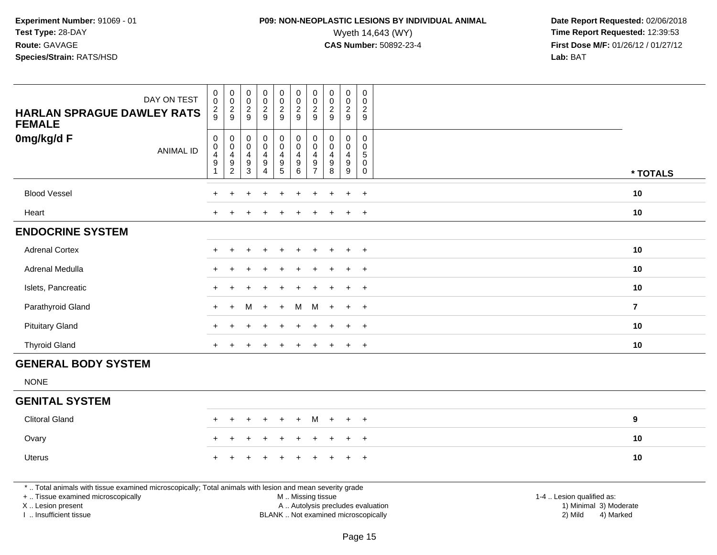# **P09: NON-NEOPLASTIC LESIONS BY INDIVIDUAL ANIMAL**<br>Wyeth 14,643 (WY) Wyeth 14,643 (WY) **Time Report Requested:** 12:39:53<br>**CAS Number:** 50892-23-4 **Time Report Requested:** 12:39:53

 **Date Report Requested:** 02/06/2018 **First Dose M/F:** 01/26/12 / 01/27/12<br>**Lab:** BAT **Lab:** BAT

| DAY ON TEST<br><b>HARLAN SPRAGUE DAWLEY RATS</b><br><b>FEMALE</b>                                                                                                   | $\pmb{0}$<br>$\mathbf 0$<br>$\frac{2}{9}$                           | $\pmb{0}$<br>$\,0\,$<br>$\frac{2}{9}$                     | $\begin{array}{c} 0 \\ 0 \\ 2 \\ 9 \end{array}$                               | $\begin{smallmatrix}0\0\0\end{smallmatrix}$<br>$\frac{2}{9}$ | $\pmb{0}$<br>$\frac{0}{2}$                                                | $\pmb{0}$<br>$\overline{0}$<br>$\frac{2}{9}$                              | $\boldsymbol{0}$<br>$\mathbf 0$<br>$\overline{c}$<br>9        | $\pmb{0}$<br>$\mathbf 0$<br>$\frac{2}{9}$                           | $\mathbf 0$<br>$\mathbf 0$<br>$\frac{2}{9}$   | $\pmb{0}$<br>$\mathbf 0$<br>$\frac{2}{9}$                                                   |                                                     |
|---------------------------------------------------------------------------------------------------------------------------------------------------------------------|---------------------------------------------------------------------|-----------------------------------------------------------|-------------------------------------------------------------------------------|--------------------------------------------------------------|---------------------------------------------------------------------------|---------------------------------------------------------------------------|---------------------------------------------------------------|---------------------------------------------------------------------|-----------------------------------------------|---------------------------------------------------------------------------------------------|-----------------------------------------------------|
| 0mg/kg/d F<br><b>ANIMAL ID</b>                                                                                                                                      | $\mathbf 0$<br>$\mathbf 0$<br>4<br>$\boldsymbol{9}$<br>$\mathbf{1}$ | 0<br>$\pmb{0}$<br>4<br>$\boldsymbol{9}$<br>$\overline{c}$ | $\mathsf{O}\xspace$<br>$\mathbf 0$<br>$\overline{4}$<br>$\boldsymbol{9}$<br>3 | 0<br>$\mathbf 0$<br>4<br>$\boldsymbol{9}$<br>$\overline{4}$  | $\pmb{0}$<br>$\boldsymbol{0}$<br>$\overline{\mathbf{4}}$<br>$\frac{9}{5}$ | $\mathbf 0$<br>$\pmb{0}$<br>$\overline{a}$<br>$\boldsymbol{9}$<br>$\,6\,$ | 0<br>$\mathbf 0$<br>$\overline{4}$<br>$9\,$<br>$\overline{7}$ | $\pmb{0}$<br>$\mathbf 0$<br>$\overline{4}$<br>$\boldsymbol{9}$<br>8 | 0<br>$\mathbf{0}$<br>$\overline{4}$<br>9<br>9 | $\mathsf{O}\xspace$<br>$\mathbf 0$<br>$5\phantom{.0}$<br>$\mathbf 0$<br>$\mathsf{O}\xspace$ | * TOTALS                                            |
| <b>Blood Vessel</b>                                                                                                                                                 |                                                                     |                                                           |                                                                               |                                                              |                                                                           |                                                                           |                                                               |                                                                     | $\ddot{}$                                     | $\overline{+}$                                                                              | 10                                                  |
| Heart                                                                                                                                                               |                                                                     | $\div$                                                    |                                                                               | $\div$                                                       |                                                                           |                                                                           |                                                               |                                                                     | $\ddot{}$                                     | $+$                                                                                         | 10                                                  |
| <b>ENDOCRINE SYSTEM</b>                                                                                                                                             |                                                                     |                                                           |                                                                               |                                                              |                                                                           |                                                                           |                                                               |                                                                     |                                               |                                                                                             |                                                     |
| <b>Adrenal Cortex</b>                                                                                                                                               |                                                                     |                                                           |                                                                               |                                                              |                                                                           |                                                                           |                                                               |                                                                     | $\div$                                        | $\overline{+}$                                                                              | 10                                                  |
| Adrenal Medulla                                                                                                                                                     |                                                                     |                                                           |                                                                               |                                                              |                                                                           |                                                                           |                                                               |                                                                     | $\ddot{}$                                     | $+$                                                                                         | 10                                                  |
| Islets, Pancreatic                                                                                                                                                  |                                                                     |                                                           |                                                                               |                                                              |                                                                           |                                                                           |                                                               |                                                                     | ÷.                                            | $\overline{+}$                                                                              | 10                                                  |
| Parathyroid Gland                                                                                                                                                   |                                                                     | $\ddot{}$                                                 | м                                                                             | $\ddot{}$                                                    | $\ddot{}$                                                                 | м                                                                         | м                                                             |                                                                     | $\ddot{}$                                     | $\overline{+}$                                                                              | $\overline{7}$                                      |
| <b>Pituitary Gland</b>                                                                                                                                              |                                                                     |                                                           |                                                                               |                                                              |                                                                           |                                                                           | ÷                                                             |                                                                     | $\ddot{}$                                     | $+$                                                                                         | 10                                                  |
| <b>Thyroid Gland</b>                                                                                                                                                | $\ddot{}$                                                           |                                                           |                                                                               | $\div$                                                       | $\ddot{}$                                                                 | $\ddot{}$                                                                 | $\ddot{}$                                                     |                                                                     | $\ddot{}$                                     | $+$                                                                                         | 10                                                  |
| <b>GENERAL BODY SYSTEM</b>                                                                                                                                          |                                                                     |                                                           |                                                                               |                                                              |                                                                           |                                                                           |                                                               |                                                                     |                                               |                                                                                             |                                                     |
| <b>NONE</b>                                                                                                                                                         |                                                                     |                                                           |                                                                               |                                                              |                                                                           |                                                                           |                                                               |                                                                     |                                               |                                                                                             |                                                     |
| <b>GENITAL SYSTEM</b>                                                                                                                                               |                                                                     |                                                           |                                                                               |                                                              |                                                                           |                                                                           |                                                               |                                                                     |                                               |                                                                                             |                                                     |
| <b>Clitoral Gland</b>                                                                                                                                               |                                                                     |                                                           |                                                                               |                                                              |                                                                           |                                                                           |                                                               |                                                                     |                                               |                                                                                             | 9                                                   |
| Ovary                                                                                                                                                               |                                                                     |                                                           |                                                                               |                                                              |                                                                           |                                                                           |                                                               |                                                                     | $\div$                                        | $^{+}$                                                                                      | 10                                                  |
| Uterus                                                                                                                                                              |                                                                     |                                                           |                                                                               |                                                              |                                                                           |                                                                           |                                                               |                                                                     | ÷                                             | $\overline{+}$                                                                              | 10                                                  |
| *  Total animals with tissue examined microscopically; Total animals with lesion and mean severity grade<br>+  Tissue examined microscopically<br>X  Lesion present |                                                                     |                                                           |                                                                               |                                                              |                                                                           | M  Missing tissue                                                         |                                                               | A  Autolysis precludes evaluation                                   |                                               |                                                                                             | 1-4  Lesion qualified as:<br>1) Minimal 3) Moderate |

I .. Insufficient tissue

BLANK .. Not examined microscopically 2) Mild 4) Marked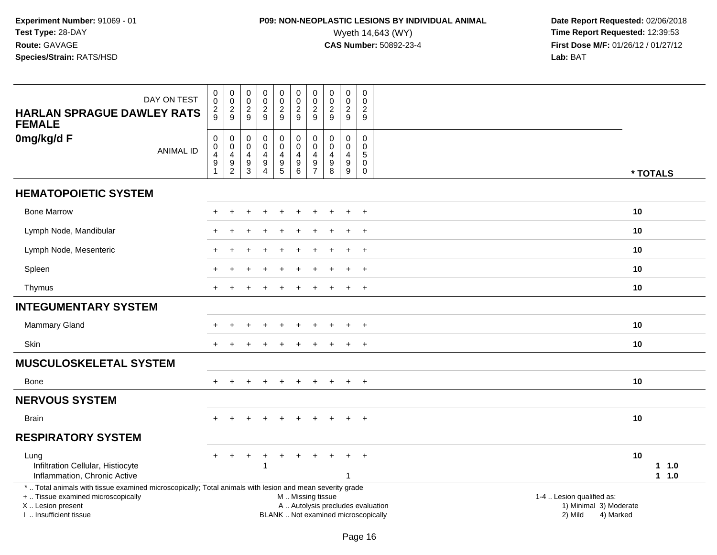# **P09: NON-NEOPLASTIC LESIONS BY INDIVIDUAL ANIMAL**<br>Wyeth 14,643 (WY) Wyeth 14,643 (WY) **Time Report Requested:** 12:39:53<br>**CAS Number:** 50892-23-4 **Time Report Requested:** 12:39:53

| DAY ON TEST<br><b>HARLAN SPRAGUE DAWLEY RATS</b><br><b>FEMALE</b>                                                                                                                             | 0<br>0<br>$\frac{2}{9}$                              | $_{\rm 0}^{\rm 0}$<br>$\frac{2}{9}$                        | $_{\rm 0}^{\rm 0}$<br>$\boldsymbol{2}$<br>9                           | $_{\rm 0}^{\rm 0}$<br>$\overline{c}$<br>9                         | $\pmb{0}$<br>$\overline{0}$<br>$\sqrt{2}$<br>9                                    | $\mathbf 0$<br>$\ddot{\mathbf{0}}$<br>$\overline{c}$<br>9           | 0<br>0<br>$\overline{c}$<br>9                       | $_{\rm 0}^{\rm 0}$<br>$\boldsymbol{2}$<br>9                           | $\pmb{0}$<br>$\overline{0}$<br>$\overline{c}$<br>9 | 0<br>0<br>$\overline{2}$<br>9                                  |                                                                                                                  |
|-----------------------------------------------------------------------------------------------------------------------------------------------------------------------------------------------|------------------------------------------------------|------------------------------------------------------------|-----------------------------------------------------------------------|-------------------------------------------------------------------|-----------------------------------------------------------------------------------|---------------------------------------------------------------------|-----------------------------------------------------|-----------------------------------------------------------------------|----------------------------------------------------|----------------------------------------------------------------|------------------------------------------------------------------------------------------------------------------|
| 0mg/kg/d F<br><b>ANIMAL ID</b>                                                                                                                                                                | $\pmb{0}$<br>0<br>4<br>$\mathsf g$<br>$\overline{1}$ | $\pmb{0}$<br>0<br>$\overline{\mathbf{4}}$<br>$\frac{9}{2}$ | $\mathsf{O}\xspace$<br>$\mathbf 0$<br>$\overline{4}$<br>$\frac{9}{3}$ | $\pmb{0}$<br>$\pmb{0}$<br>4<br>$\boldsymbol{9}$<br>$\overline{4}$ | $\pmb{0}$<br>$\pmb{0}$<br>$\overline{4}$<br>$\begin{array}{c} 9 \\ 5 \end{array}$ | $\pmb{0}$<br>$\mathsf 0$<br>$\overline{a}$<br>$\boldsymbol{9}$<br>6 | $\mathbf 0$<br>$\Omega$<br>4<br>9<br>$\overline{7}$ | $\mathbf 0$<br>$\mathbf 0$<br>$\overline{4}$<br>$\boldsymbol{9}$<br>8 | $\mathbf 0$<br>0<br>$\overline{4}$<br>9<br>9       | $\mathbf 0$<br>$\mathbf 0$<br>5<br>$\mathsf{O}$<br>$\mathbf 0$ | * TOTALS                                                                                                         |
| <b>HEMATOPOIETIC SYSTEM</b>                                                                                                                                                                   |                                                      |                                                            |                                                                       |                                                                   |                                                                                   |                                                                     |                                                     |                                                                       |                                                    |                                                                |                                                                                                                  |
| <b>Bone Marrow</b>                                                                                                                                                                            |                                                      |                                                            |                                                                       |                                                                   |                                                                                   |                                                                     |                                                     |                                                                       | $\ddot{}$                                          | $+$                                                            | 10                                                                                                               |
| Lymph Node, Mandibular                                                                                                                                                                        |                                                      |                                                            |                                                                       |                                                                   |                                                                                   |                                                                     |                                                     |                                                                       |                                                    | $\ddot{}$                                                      | 10                                                                                                               |
| Lymph Node, Mesenteric                                                                                                                                                                        |                                                      |                                                            |                                                                       |                                                                   |                                                                                   |                                                                     |                                                     |                                                                       |                                                    | $\overline{+}$                                                 | 10                                                                                                               |
| Spleen                                                                                                                                                                                        |                                                      |                                                            |                                                                       |                                                                   |                                                                                   |                                                                     |                                                     |                                                                       |                                                    | $\overline{+}$                                                 | 10                                                                                                               |
| Thymus                                                                                                                                                                                        |                                                      |                                                            |                                                                       |                                                                   |                                                                                   |                                                                     |                                                     |                                                                       | $\overline{+}$                                     | $\overline{+}$                                                 | 10                                                                                                               |
| <b>INTEGUMENTARY SYSTEM</b>                                                                                                                                                                   |                                                      |                                                            |                                                                       |                                                                   |                                                                                   |                                                                     |                                                     |                                                                       |                                                    |                                                                |                                                                                                                  |
| <b>Mammary Gland</b>                                                                                                                                                                          |                                                      |                                                            |                                                                       |                                                                   |                                                                                   |                                                                     |                                                     |                                                                       |                                                    | $\ddot{}$                                                      | 10                                                                                                               |
| Skin                                                                                                                                                                                          |                                                      |                                                            |                                                                       |                                                                   |                                                                                   |                                                                     |                                                     |                                                                       | $\ddot{}$                                          | $+$                                                            | 10                                                                                                               |
| <b>MUSCULOSKELETAL SYSTEM</b>                                                                                                                                                                 |                                                      |                                                            |                                                                       |                                                                   |                                                                                   |                                                                     |                                                     |                                                                       |                                                    |                                                                |                                                                                                                  |
| Bone                                                                                                                                                                                          |                                                      |                                                            |                                                                       |                                                                   |                                                                                   |                                                                     |                                                     |                                                                       | $\pm$                                              | $+$                                                            | 10                                                                                                               |
| <b>NERVOUS SYSTEM</b>                                                                                                                                                                         |                                                      |                                                            |                                                                       |                                                                   |                                                                                   |                                                                     |                                                     |                                                                       |                                                    |                                                                |                                                                                                                  |
| <b>Brain</b>                                                                                                                                                                                  |                                                      | $\div$                                                     |                                                                       | $\overline{1}$                                                    | $\ddot{}$                                                                         |                                                                     |                                                     |                                                                       | $+$                                                | $+$                                                            | 10                                                                                                               |
| <b>RESPIRATORY SYSTEM</b>                                                                                                                                                                     |                                                      |                                                            |                                                                       |                                                                   |                                                                                   |                                                                     |                                                     |                                                                       |                                                    |                                                                |                                                                                                                  |
| Lung<br>Infiltration Cellular, Histiocyte<br>Inflammation, Chronic Active                                                                                                                     |                                                      |                                                            |                                                                       |                                                                   |                                                                                   |                                                                     |                                                     |                                                                       | 1                                                  | $\ddot{}$                                                      | 10<br>1 1.0<br>1 1.0                                                                                             |
| *  Total animals with tissue examined microscopically; Total animals with lesion and mean severity grade<br>+  Tissue examined microscopically<br>X  Lesion present<br>I. Insufficient tissue |                                                      |                                                            |                                                                       |                                                                   |                                                                                   | M  Missing tissue<br>BLANK  Not examined microscopically            |                                                     |                                                                       |                                                    |                                                                | 1-4  Lesion qualified as:<br>A  Autolysis precludes evaluation<br>1) Minimal 3) Moderate<br>2) Mild<br>4) Marked |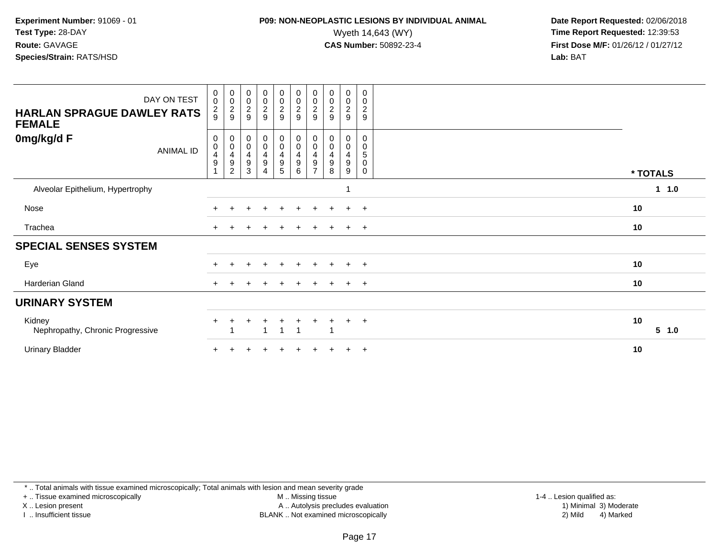### **P09: NON-NEOPLASTIC LESIONS BY INDIVIDUAL ANIMAL**<br>Wyeth 14,643 (WY) Wyeth 14,643 (WY) **Time Report Requested:** 12:39:53<br>**CAS Number:** 50892-23-4 **Time Report Requested:** 12:39:53

 **Date Report Requested:** 02/06/2018 **First Dose M/F:** 01/26/12 / 01/27/12<br>**Lab:** BAT

| DAY ON TEST<br><b>HARLAN SPRAGUE DAWLEY RATS</b><br><b>FEMALE</b> | $_{\rm 0}^{\rm 0}$<br>$\frac{2}{9}$                   | 00029                                                     | 00029                                | 00029                                                     | $\begin{array}{c} 0 \\ 0 \\ 2 \\ 9 \end{array}$             | $\begin{smallmatrix} 0\\0 \end{smallmatrix}$<br>$\frac{2}{9}$ | 00029                                                                          | $_{\rm 0}^{\rm 0}$<br>$\frac{2}{9}$               | $\begin{smallmatrix} 0\\0 \end{smallmatrix}$<br>$\overline{c}$<br>9 | 0<br>0<br>$\overline{c}$<br>$\boldsymbol{9}$ |             |
|-------------------------------------------------------------------|-------------------------------------------------------|-----------------------------------------------------------|--------------------------------------|-----------------------------------------------------------|-------------------------------------------------------------|---------------------------------------------------------------|--------------------------------------------------------------------------------|---------------------------------------------------|---------------------------------------------------------------------|----------------------------------------------|-------------|
| 0mg/kg/d F<br><b>ANIMAL ID</b>                                    | 0<br>0<br>$\overline{\mathbf{r}}$<br>$\boldsymbol{9}$ | $\pmb{0}$<br>$\pmb{0}$<br>$\frac{4}{9}$<br>$\overline{c}$ | 0<br>$\pmb{0}$<br>$\frac{4}{9}$<br>3 | $\pmb{0}$<br>$\pmb{0}$<br>$\frac{4}{9}$<br>$\overline{4}$ | 0<br>$\mathbf 0$<br>$\overline{4}$<br>$\boldsymbol{9}$<br>5 | 0<br>0<br>$\overline{\mathbf{4}}$<br>$\boldsymbol{9}$<br>6    | 0<br>$\pmb{0}$<br>$\overline{\mathbf{4}}$<br>$\boldsymbol{9}$<br>$\rightarrow$ | 0<br>0<br>$\overline{4}$<br>$\boldsymbol{9}$<br>8 | 0<br>$\pmb{0}$<br>$\overline{\mathbf{4}}$<br>$\boldsymbol{9}$<br>9  | 0<br>0<br>5<br>0<br>0                        | * TOTALS    |
| Alveolar Epithelium, Hypertrophy                                  |                                                       |                                                           |                                      |                                                           |                                                             |                                                               |                                                                                |                                                   |                                                                     |                                              | 1 1.0       |
| Nose                                                              |                                                       |                                                           |                                      |                                                           |                                                             |                                                               | $\div$                                                                         |                                                   |                                                                     | $^{+}$                                       | 10          |
| Trachea                                                           |                                                       |                                                           |                                      |                                                           |                                                             |                                                               |                                                                                |                                                   |                                                                     | $+$                                          | 10          |
| <b>SPECIAL SENSES SYSTEM</b>                                      |                                                       |                                                           |                                      |                                                           |                                                             |                                                               |                                                                                |                                                   |                                                                     |                                              |             |
| Eye                                                               | $+$                                                   |                                                           |                                      | $\ddot{}$                                                 | $\div$                                                      | $+$                                                           | $\pm$                                                                          | $\pm$                                             | $+$                                                                 | $+$                                          | 10          |
| Harderian Gland                                                   |                                                       |                                                           |                                      |                                                           |                                                             |                                                               |                                                                                |                                                   |                                                                     | $+$                                          | 10          |
| <b>URINARY SYSTEM</b>                                             |                                                       |                                                           |                                      |                                                           |                                                             |                                                               |                                                                                |                                                   |                                                                     |                                              |             |
| Kidney<br>Nephropathy, Chronic Progressive                        | $+$                                                   |                                                           |                                      | -1                                                        |                                                             |                                                               |                                                                                |                                                   | $\ddot{}$                                                           | $+$                                          | 10<br>5 1.0 |
| <b>Urinary Bladder</b>                                            |                                                       |                                                           |                                      |                                                           |                                                             |                                                               |                                                                                |                                                   |                                                                     | $+$                                          | 10          |

\* .. Total animals with tissue examined microscopically; Total animals with lesion and mean severity grade

+ .. Tissue examined microscopically

X .. Lesion present

I .. Insufficient tissue

M .. Missing tissue

Lesion present A .. Autolysis precludes evaluation 1) Minimal 3) Moderate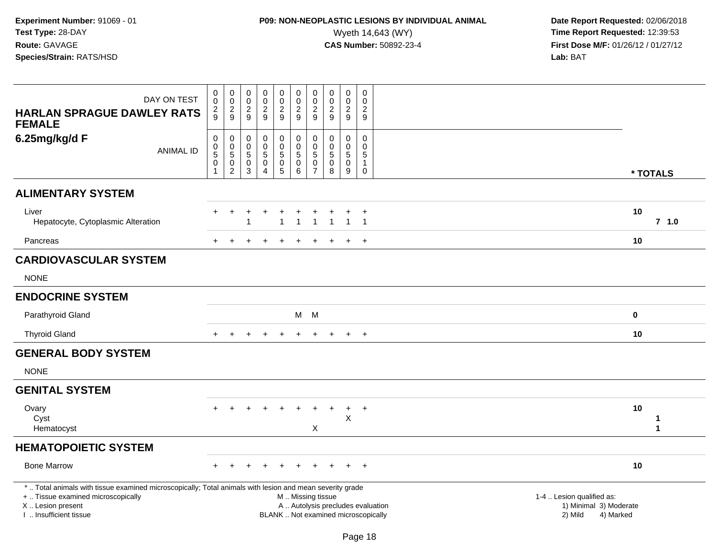# **P09: NON-NEOPLASTIC LESIONS BY INDIVIDUAL ANIMAL**<br>Wyeth 14,643 (WY) Wyeth 14,643 (WY) **Time Report Requested:** 12:39:53<br>**CAS Number:** 50892-23-4 **Time Report Requested:** 12:39:53

| DAY ON TEST<br><b>HARLAN SPRAGUE DAWLEY RATS</b><br><b>FEMALE</b>                                                                                                                             | 0<br>$\mathbf 0$<br>$\frac{2}{9}$                                           | $\pmb{0}$<br>$\mathbf 0$<br>$\frac{2}{9}$                                                     | $\pmb{0}$<br>$\mathbf 0$<br>$\overline{c}$<br>9        | $\mathbf 0$<br>$\mathbf 0$<br>$\overline{c}$<br>9                                     | 0<br>$\pmb{0}$<br>$\overline{c}$<br>9                                | $\mathbf 0$<br>0<br>$\overline{a}$<br>9                                                       | $\pmb{0}$<br>$\pmb{0}$<br>$\overline{c}$<br>$\boldsymbol{9}$        | $\pmb{0}$<br>$\mathbf 0$<br>$\overline{2}$<br>9 | $\pmb{0}$<br>$\pmb{0}$<br>$\overline{2}$<br>$9\,$              | 0<br>$\mathbf 0$<br>$\overline{2}$<br>$\boldsymbol{9}$         |                                                                             |
|-----------------------------------------------------------------------------------------------------------------------------------------------------------------------------------------------|-----------------------------------------------------------------------------|-----------------------------------------------------------------------------------------------|--------------------------------------------------------|---------------------------------------------------------------------------------------|----------------------------------------------------------------------|-----------------------------------------------------------------------------------------------|---------------------------------------------------------------------|-------------------------------------------------|----------------------------------------------------------------|----------------------------------------------------------------|-----------------------------------------------------------------------------|
| 6.25mg/kg/d F<br><b>ANIMAL ID</b>                                                                                                                                                             | $\mathsf{O}\xspace$<br>$\begin{array}{c} 0 \\ 5 \end{array}$<br>$\mathbf 0$ | $\mathsf{O}\xspace$<br>$\begin{array}{c} 0 \\ 5 \end{array}$<br>$\mathbf 0$<br>$\overline{2}$ | $\mathbf 0$<br>0<br>$\overline{5}$<br>$\mathbf 0$<br>3 | $\mathbf 0$<br>$\mathbf 0$<br>$\overline{5}$<br>$\mathbf 0$<br>$\boldsymbol{\Lambda}$ | 0<br>$\pmb{0}$<br>$\sqrt{5}$<br>$\begin{matrix} 0 \\ 5 \end{matrix}$ | 0<br>$\mathbf 0$<br>$5\phantom{.0}$<br>$\mathbf 0$<br>$6\overline{6}$                         | $\pmb{0}$<br>$\pmb{0}$<br>$\sqrt{5}$<br>$\pmb{0}$<br>$\overline{7}$ | $\mathbf 0$<br>0<br>$\sqrt{5}$<br>0<br>8        | $\mathbf 0$<br>$\pmb{0}$<br>$\sqrt{5}$<br>$\mathbf 0$<br>$9\,$ | $\mathbf 0$<br>$\mathbf 0$<br>5<br>$\mathbf{1}$<br>$\mathbf 0$ | * TOTALS                                                                    |
| <b>ALIMENTARY SYSTEM</b>                                                                                                                                                                      |                                                                             |                                                                                               |                                                        |                                                                                       |                                                                      |                                                                                               |                                                                     |                                                 |                                                                |                                                                |                                                                             |
| Liver<br>Hepatocyte, Cytoplasmic Alteration                                                                                                                                                   |                                                                             |                                                                                               |                                                        |                                                                                       |                                                                      |                                                                                               |                                                                     |                                                 | $\overline{1}$                                                 | $\ddot{}$<br>$\overline{1}$                                    | 10<br>$7$ 1.0                                                               |
| Pancreas                                                                                                                                                                                      |                                                                             |                                                                                               |                                                        |                                                                                       |                                                                      |                                                                                               |                                                                     |                                                 |                                                                | $\div$                                                         | 10                                                                          |
| <b>CARDIOVASCULAR SYSTEM</b>                                                                                                                                                                  |                                                                             |                                                                                               |                                                        |                                                                                       |                                                                      |                                                                                               |                                                                     |                                                 |                                                                |                                                                |                                                                             |
| <b>NONE</b>                                                                                                                                                                                   |                                                                             |                                                                                               |                                                        |                                                                                       |                                                                      |                                                                                               |                                                                     |                                                 |                                                                |                                                                |                                                                             |
| <b>ENDOCRINE SYSTEM</b>                                                                                                                                                                       |                                                                             |                                                                                               |                                                        |                                                                                       |                                                                      |                                                                                               |                                                                     |                                                 |                                                                |                                                                |                                                                             |
| Parathyroid Gland                                                                                                                                                                             |                                                                             |                                                                                               |                                                        |                                                                                       |                                                                      |                                                                                               | $M$ $M$                                                             |                                                 |                                                                |                                                                | 0                                                                           |
| <b>Thyroid Gland</b>                                                                                                                                                                          |                                                                             |                                                                                               |                                                        |                                                                                       |                                                                      |                                                                                               |                                                                     |                                                 |                                                                | $+$                                                            | 10                                                                          |
| <b>GENERAL BODY SYSTEM</b>                                                                                                                                                                    |                                                                             |                                                                                               |                                                        |                                                                                       |                                                                      |                                                                                               |                                                                     |                                                 |                                                                |                                                                |                                                                             |
| <b>NONE</b>                                                                                                                                                                                   |                                                                             |                                                                                               |                                                        |                                                                                       |                                                                      |                                                                                               |                                                                     |                                                 |                                                                |                                                                |                                                                             |
| <b>GENITAL SYSTEM</b>                                                                                                                                                                         |                                                                             |                                                                                               |                                                        |                                                                                       |                                                                      |                                                                                               |                                                                     |                                                 |                                                                |                                                                |                                                                             |
| Ovary<br>Cyst<br>Hematocyst                                                                                                                                                                   |                                                                             |                                                                                               |                                                        |                                                                                       |                                                                      |                                                                                               | $\ddot{}$<br>X                                                      | $\ddot{}$                                       | $+$<br>X                                                       | $+$                                                            | 10<br>1<br>$\mathbf{1}$                                                     |
| <b>HEMATOPOIETIC SYSTEM</b>                                                                                                                                                                   |                                                                             |                                                                                               |                                                        |                                                                                       |                                                                      |                                                                                               |                                                                     |                                                 |                                                                |                                                                |                                                                             |
| <b>Bone Marrow</b>                                                                                                                                                                            |                                                                             |                                                                                               |                                                        |                                                                                       |                                                                      |                                                                                               |                                                                     |                                                 |                                                                | $+$                                                            | 10                                                                          |
| *  Total animals with tissue examined microscopically; Total animals with lesion and mean severity grade<br>+  Tissue examined microscopically<br>X  Lesion present<br>I  Insufficient tissue |                                                                             |                                                                                               |                                                        |                                                                                       |                                                                      | M  Missing tissue<br>A  Autolysis precludes evaluation<br>BLANK  Not examined microscopically |                                                                     |                                                 |                                                                |                                                                | 1-4  Lesion qualified as:<br>1) Minimal 3) Moderate<br>2) Mild<br>4) Marked |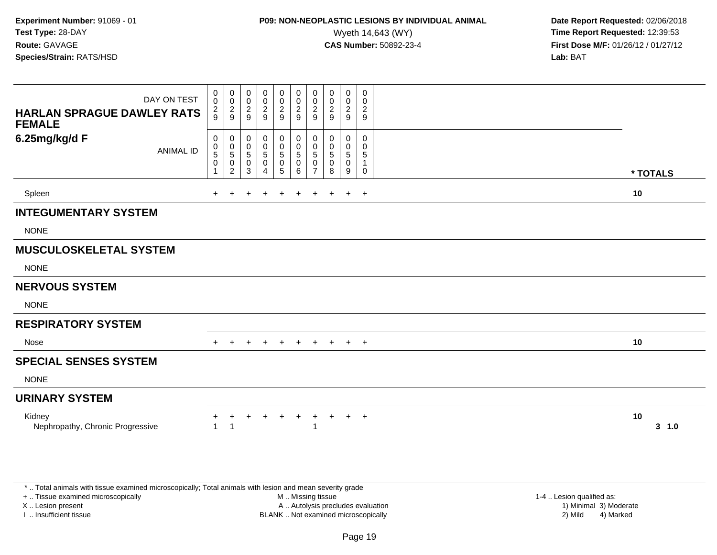### **P09: NON-NEOPLASTIC LESIONS BY INDIVIDUAL ANIMAL**<br>Wyeth 14,643 (WY) Wyeth 14,643 (WY) **Time Report Requested:** 12:39:53<br>**CAS Number:** 50892-23-4 **Time Report Requested:** 12:39:53

 **Date Report Requested:** 02/06/2018 **First Dose M/F:** 01/26/12 / 01/27/12<br>**Lab:** BAT

| DAY ON TEST<br><b>HARLAN SPRAGUE DAWLEY RATS</b><br><b>FEMALE</b> | $\begin{smallmatrix}0\0\0\end{smallmatrix}$<br>$\frac{2}{9}$ | $\begin{array}{c} 0 \\ 0 \\ 2 \\ 9 \end{array}$                                  | 0<br>0<br>$\sqrt{2}$<br>9      | 0<br>$\pmb{0}$<br>$\sqrt{2}$<br>9 | 0<br>$\pmb{0}$<br>$\frac{2}{9}$       | $\pmb{0}$<br>$\pmb{0}$<br>$\overline{2}$<br>9          | $\mathbf 0$<br>$\mathbf 0$<br>$\sqrt{2}$<br>9 | 0<br>$\pmb{0}$<br>$\sqrt{2}$<br>9 | $\begin{smallmatrix} 0\\0\\2 \end{smallmatrix}$<br>$\boldsymbol{9}$ | $\boldsymbol{0}$<br>$\mathbf 0$<br>$\frac{2}{9}$             |          |           |
|-------------------------------------------------------------------|--------------------------------------------------------------|----------------------------------------------------------------------------------|--------------------------------|-----------------------------------|---------------------------------------|--------------------------------------------------------|-----------------------------------------------|-----------------------------------|---------------------------------------------------------------------|--------------------------------------------------------------|----------|-----------|
| 6.25mg/kg/d F<br><b>ANIMAL ID</b>                                 | 0<br>0<br>5<br>$\mathbf 0$                                   | 0<br>$\begin{array}{c} 0 \\ 5 \end{array}$<br>$\boldsymbol{0}$<br>$\overline{2}$ | 0<br>0<br>$\sqrt{5}$<br>0<br>3 | 0<br>$\pmb{0}$<br>5<br>0<br>4     | 0<br>$\pmb{0}$<br>5<br>$\pmb{0}$<br>5 | 0<br>$\pmb{0}$<br>$\sqrt{5}$<br>$\mathbf 0$<br>$\,6\,$ | 0<br>$\mathbf 0$<br>5<br>0<br>$\overline{7}$  | 0<br>0<br>$\sqrt{5}$<br>0<br>8    | 0<br>$\pmb{0}$<br>$\sqrt{5}$<br>$\mathbf 0$<br>9                    | 0<br>$\mathbf 0$<br>$\sqrt{5}$<br>$\mathbf 1$<br>$\mathbf 0$ | * TOTALS |           |
| Spleen                                                            | ÷.                                                           |                                                                                  |                                |                                   | $\div$                                | ÷                                                      | $\ddot{}$                                     | $\ddot{}$                         | $\overline{+}$                                                      | $+$                                                          | 10       |           |
| <b>INTEGUMENTARY SYSTEM</b>                                       |                                                              |                                                                                  |                                |                                   |                                       |                                                        |                                               |                                   |                                                                     |                                                              |          |           |
| <b>NONE</b>                                                       |                                                              |                                                                                  |                                |                                   |                                       |                                                        |                                               |                                   |                                                                     |                                                              |          |           |
| <b>MUSCULOSKELETAL SYSTEM</b>                                     |                                                              |                                                                                  |                                |                                   |                                       |                                                        |                                               |                                   |                                                                     |                                                              |          |           |
| <b>NONE</b>                                                       |                                                              |                                                                                  |                                |                                   |                                       |                                                        |                                               |                                   |                                                                     |                                                              |          |           |
| <b>NERVOUS SYSTEM</b>                                             |                                                              |                                                                                  |                                |                                   |                                       |                                                        |                                               |                                   |                                                                     |                                                              |          |           |
| <b>NONE</b>                                                       |                                                              |                                                                                  |                                |                                   |                                       |                                                        |                                               |                                   |                                                                     |                                                              |          |           |
| <b>RESPIRATORY SYSTEM</b>                                         |                                                              |                                                                                  |                                |                                   |                                       |                                                        |                                               |                                   |                                                                     |                                                              |          |           |
| Nose                                                              | $+$                                                          | $+$                                                                              | $\ddot{}$                      | $+$                               | $+$                                   | $+$                                                    |                                               |                                   | + + + +                                                             |                                                              | 10       |           |
| <b>SPECIAL SENSES SYSTEM</b>                                      |                                                              |                                                                                  |                                |                                   |                                       |                                                        |                                               |                                   |                                                                     |                                                              |          |           |
| <b>NONE</b>                                                       |                                                              |                                                                                  |                                |                                   |                                       |                                                        |                                               |                                   |                                                                     |                                                              |          |           |
| <b>URINARY SYSTEM</b>                                             |                                                              |                                                                                  |                                |                                   |                                       |                                                        |                                               |                                   |                                                                     |                                                              |          |           |
| Kidney<br>Nephropathy, Chronic Progressive                        |                                                              | 1                                                                                | $\div$                         | $\pm$                             | $\ddot{}$                             | $\ddot{}$                                              | $_{+}$                                        | $+$                               | $+$                                                                 | $+$                                                          | 10       | $3 - 1.0$ |

\* .. Total animals with tissue examined microscopically; Total animals with lesion and mean severity grade

+ .. Tissue examined microscopically

X .. Lesion present

I .. Insufficient tissue

 M .. Missing tissueA .. Autolysis precludes evaluation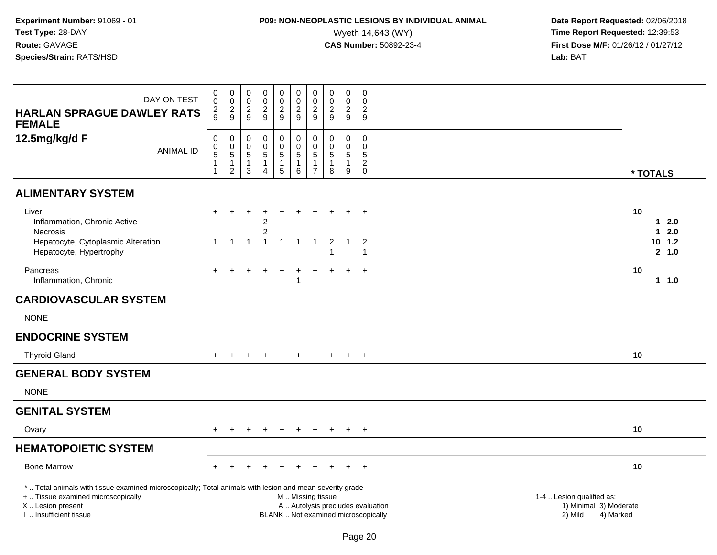# **P09: NON-NEOPLASTIC LESIONS BY INDIVIDUAL ANIMAL**<br>Wyeth 14,643 (WY) Wyeth 14,643 (WY) **Time Report Requested:** 12:39:53<br>**CAS Number:** 50892-23-4 **Time Report Requested:** 12:39:53

| DAY ON TEST<br><b>HARLAN SPRAGUE DAWLEY RATS</b>                                                                                                                                              | 0<br>$\mathsf{O}\xspace$<br>$\frac{2}{9}$        | $\boldsymbol{0}$<br>$\frac{0}{2}$                                                      | $\mathbf 0$<br>$\mathbf 0$<br>$\frac{2}{9}$                   | $\pmb{0}$<br>$\overline{0}$<br>$\frac{2}{9}$                                 | 0<br>$\mathsf{O}\xspace$<br>$\sqrt{2}$<br>9             | $\mathbf 0$<br>$\pmb{0}$<br>$\boldsymbol{2}$<br>9              | $\mathbf 0$<br>$\pmb{0}$<br>$\overline{c}$<br>9 | $\pmb{0}$<br>$\pmb{0}$<br>$\overline{c}$<br>9 | $\pmb{0}$<br>$\pmb{0}$<br>$\overline{c}$<br>9           | $\mathbf 0$<br>$\mathbf 0$<br>$\overline{c}$<br>9                        |                                                                                                                  |
|-----------------------------------------------------------------------------------------------------------------------------------------------------------------------------------------------|--------------------------------------------------|----------------------------------------------------------------------------------------|---------------------------------------------------------------|------------------------------------------------------------------------------|---------------------------------------------------------|----------------------------------------------------------------|-------------------------------------------------|-----------------------------------------------|---------------------------------------------------------|--------------------------------------------------------------------------|------------------------------------------------------------------------------------------------------------------|
| <b>FEMALE</b><br>12.5mg/kg/d F<br><b>ANIMAL ID</b>                                                                                                                                            | 0<br>$\begin{array}{c} 0 \\ 5 \end{array}$<br>-1 | $\mathbf 0$<br>$\begin{array}{c} 0 \\ 5 \end{array}$<br>$\mathbf{1}$<br>$\overline{c}$ | $\mathbf 0$<br>$\mathbf 0$<br>$\sqrt{5}$<br>$\mathbf{1}$<br>3 | $\mathbf 0$<br>$\mathsf{O}\xspace$<br>$\overline{5}$<br>-1<br>$\overline{4}$ | 0<br>$\mathbf 0$<br>$\overline{5}$<br>$\mathbf{1}$<br>5 | $\mathbf 0$<br>$\mathbf 0$<br>$\,$ 5 $\,$<br>$\mathbf{1}$<br>6 | 0<br>0<br>5<br>1<br>$\overline{7}$              | $\Omega$<br>0<br>$\mathbf 5$<br>-1<br>8       | $\mathbf 0$<br>0<br>$\overline{5}$<br>$\mathbf{1}$<br>9 | $\Omega$<br>$\mathbf 0$<br>$\sqrt{5}$<br>$\boldsymbol{2}$<br>$\mathbf 0$ | * TOTALS                                                                                                         |
| <b>ALIMENTARY SYSTEM</b>                                                                                                                                                                      |                                                  |                                                                                        |                                                               |                                                                              |                                                         |                                                                |                                                 |                                               |                                                         |                                                                          |                                                                                                                  |
| Liver<br>Inflammation, Chronic Active<br><b>Necrosis</b><br>Hepatocyte, Cytoplasmic Alteration<br>Hepatocyte, Hypertrophy                                                                     | $+$<br>1                                         | $\ddot{}$<br>$\overline{1}$                                                            | $\mathbf{1}$                                                  | 2<br>$\overline{2}$<br>$\overline{\mathbf{1}}$                               | $\overline{1}$                                          | $\overline{1}$                                                 | $\mathbf{1}$                                    | $\overline{2}$<br>$\overline{1}$              | $\div$<br>$\overline{1}$                                | $\ddot{}$<br>2<br>$\mathbf{1}$                                           | 10<br>2.0<br>$\mathbf 1$<br>2.0<br>1<br>$10$ $1.2$<br>2, 1.0                                                     |
| Pancreas<br>Inflammation, Chronic                                                                                                                                                             |                                                  |                                                                                        |                                                               |                                                                              |                                                         | -1                                                             |                                                 |                                               |                                                         | $+$                                                                      | 10<br>$1 1.0$                                                                                                    |
| <b>CARDIOVASCULAR SYSTEM</b>                                                                                                                                                                  |                                                  |                                                                                        |                                                               |                                                                              |                                                         |                                                                |                                                 |                                               |                                                         |                                                                          |                                                                                                                  |
| <b>NONE</b>                                                                                                                                                                                   |                                                  |                                                                                        |                                                               |                                                                              |                                                         |                                                                |                                                 |                                               |                                                         |                                                                          |                                                                                                                  |
| <b>ENDOCRINE SYSTEM</b>                                                                                                                                                                       |                                                  |                                                                                        |                                                               |                                                                              |                                                         |                                                                |                                                 |                                               |                                                         |                                                                          |                                                                                                                  |
| <b>Thyroid Gland</b>                                                                                                                                                                          | $+$                                              | $+$                                                                                    | $+$                                                           | $+$                                                                          | $+$                                                     | $+$                                                            | $+$                                             | $+$                                           | $+$                                                     | $+$                                                                      | 10                                                                                                               |
| <b>GENERAL BODY SYSTEM</b>                                                                                                                                                                    |                                                  |                                                                                        |                                                               |                                                                              |                                                         |                                                                |                                                 |                                               |                                                         |                                                                          |                                                                                                                  |
| <b>NONE</b>                                                                                                                                                                                   |                                                  |                                                                                        |                                                               |                                                                              |                                                         |                                                                |                                                 |                                               |                                                         |                                                                          |                                                                                                                  |
| <b>GENITAL SYSTEM</b>                                                                                                                                                                         |                                                  |                                                                                        |                                                               |                                                                              |                                                         |                                                                |                                                 |                                               |                                                         |                                                                          |                                                                                                                  |
| Ovary                                                                                                                                                                                         | $+$                                              |                                                                                        |                                                               |                                                                              |                                                         |                                                                |                                                 |                                               | $\ddot{}$                                               | $+$                                                                      | 10                                                                                                               |
| <b>HEMATOPOIETIC SYSTEM</b>                                                                                                                                                                   |                                                  |                                                                                        |                                                               |                                                                              |                                                         |                                                                |                                                 |                                               |                                                         |                                                                          |                                                                                                                  |
| <b>Bone Marrow</b>                                                                                                                                                                            |                                                  |                                                                                        |                                                               |                                                                              |                                                         |                                                                |                                                 |                                               |                                                         | $+$                                                                      | 10                                                                                                               |
| *  Total animals with tissue examined microscopically; Total animals with lesion and mean severity grade<br>+  Tissue examined microscopically<br>X  Lesion present<br>I  Insufficient tissue |                                                  |                                                                                        |                                                               |                                                                              |                                                         | M. Missing tissue                                              |                                                 | BLANK  Not examined microscopically           |                                                         |                                                                          | 1-4  Lesion qualified as:<br>A  Autolysis precludes evaluation<br>1) Minimal 3) Moderate<br>2) Mild<br>4) Marked |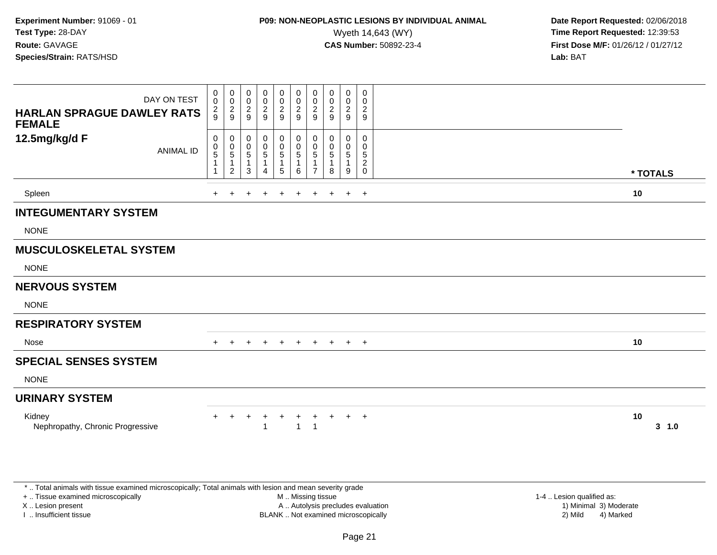### **P09: NON-NEOPLASTIC LESIONS BY INDIVIDUAL ANIMAL**<br>Wyeth 14,643 (WY) Wyeth 14,643 (WY) **Time Report Requested:** 12:39:53<br>**CAS Number:** 50892-23-4 **Time Report Requested:** 12:39:53

 **Date Report Requested:** 02/06/2018 **First Dose M/F:** 01/26/12 / 01/27/12<br>**Lab:** BAT

| DAY ON TEST<br><b>HARLAN SPRAGUE DAWLEY RATS</b><br><b>FEMALE</b> | 0<br>$\pmb{0}$<br>$\frac{2}{9}$                 | 0<br>$\frac{0}{2}$                                                           | $\mathbf 0$<br>$\mathsf{O}\xspace$<br>$\boldsymbol{2}$<br>9 | 0<br>$\mathbf 0$<br>$\overline{2}$<br>9                   | 0<br>$\frac{0}{2}$                                              | 0<br>$\frac{0}{2}$<br>9                                    | 0<br>$\mathbf 0$<br>$\overline{2}$<br>9          | 0<br>0<br>$\overline{2}$<br>9 | 0<br>$_2^0$<br>9          | $\mathbf 0$<br>$\mathbf 0$<br>$\overline{c}$<br>9            |          |           |
|-------------------------------------------------------------------|-------------------------------------------------|------------------------------------------------------------------------------|-------------------------------------------------------------|-----------------------------------------------------------|-----------------------------------------------------------------|------------------------------------------------------------|--------------------------------------------------|-------------------------------|---------------------------|--------------------------------------------------------------|----------|-----------|
| 12.5mg/kg/d F<br><b>ANIMAL ID</b>                                 | 0<br>$\begin{array}{c} 0 \\ 5 \end{array}$<br>1 | 0<br>$\begin{array}{c} 0 \\ 5 \end{array}$<br>$\mathbf{1}$<br>$\overline{2}$ | 0<br>0<br>$\sqrt{5}$<br>$\overline{1}$<br>3                 | 0<br>$\mathbf 0$<br>$\overline{5}$<br>1<br>$\overline{4}$ | 0<br>$\begin{array}{c} 0 \\ 5 \end{array}$<br>$\mathbf{1}$<br>5 | 0<br>$\begin{matrix}0\\5\end{matrix}$<br>$\mathbf{1}$<br>6 | 0<br>$\mathbf 0$<br>$\sqrt{5}$<br>$\overline{7}$ | 0<br>0<br>5<br>1<br>8         | 0<br>0<br>$\sqrt{5}$<br>9 | $\Omega$<br>0<br>$\sqrt{5}$<br>$\overline{c}$<br>$\mathbf 0$ | * TOTALS |           |
| Spleen                                                            |                                                 |                                                                              | ÷                                                           | $\pm$                                                     | $\ddot{}$                                                       | $\pm$                                                      | $\ddot{}$                                        | $+$                           | $\ddot{}$                 | $+$                                                          | 10       |           |
| <b>INTEGUMENTARY SYSTEM</b>                                       |                                                 |                                                                              |                                                             |                                                           |                                                                 |                                                            |                                                  |                               |                           |                                                              |          |           |
| <b>NONE</b>                                                       |                                                 |                                                                              |                                                             |                                                           |                                                                 |                                                            |                                                  |                               |                           |                                                              |          |           |
| <b>MUSCULOSKELETAL SYSTEM</b>                                     |                                                 |                                                                              |                                                             |                                                           |                                                                 |                                                            |                                                  |                               |                           |                                                              |          |           |
| <b>NONE</b>                                                       |                                                 |                                                                              |                                                             |                                                           |                                                                 |                                                            |                                                  |                               |                           |                                                              |          |           |
| <b>NERVOUS SYSTEM</b>                                             |                                                 |                                                                              |                                                             |                                                           |                                                                 |                                                            |                                                  |                               |                           |                                                              |          |           |
| <b>NONE</b>                                                       |                                                 |                                                                              |                                                             |                                                           |                                                                 |                                                            |                                                  |                               |                           |                                                              |          |           |
| <b>RESPIRATORY SYSTEM</b>                                         |                                                 |                                                                              |                                                             |                                                           |                                                                 |                                                            |                                                  |                               |                           |                                                              |          |           |
| Nose                                                              | $+$                                             | $+$                                                                          | $+$                                                         | $+$                                                       | $+$                                                             | $+$                                                        | $+$                                              |                               | $+$ $+$ $+$               |                                                              | 10       |           |
| <b>SPECIAL SENSES SYSTEM</b>                                      |                                                 |                                                                              |                                                             |                                                           |                                                                 |                                                            |                                                  |                               |                           |                                                              |          |           |
| <b>NONE</b>                                                       |                                                 |                                                                              |                                                             |                                                           |                                                                 |                                                            |                                                  |                               |                           |                                                              |          |           |
| <b>URINARY SYSTEM</b>                                             |                                                 |                                                                              |                                                             |                                                           |                                                                 |                                                            |                                                  |                               |                           |                                                              |          |           |
| Kidney<br>Nephropathy, Chronic Progressive                        | $+$                                             | $+$                                                                          | $+$                                                         | $^{+}$<br>1                                               | $+$                                                             | $+$<br>$\mathbf{1}$                                        | $+$<br>$\overline{1}$                            | $+$                           | $+$                       | $+$                                                          | 10       | $3 - 1.0$ |

\* .. Total animals with tissue examined microscopically; Total animals with lesion and mean severity grade

+ .. Tissue examined microscopically

X .. Lesion present

I .. Insufficient tissue

M .. Missing tissue

A .. Autolysis precludes evaluation

BLANK .. Not examined microscopically 2) Mild 4) Marked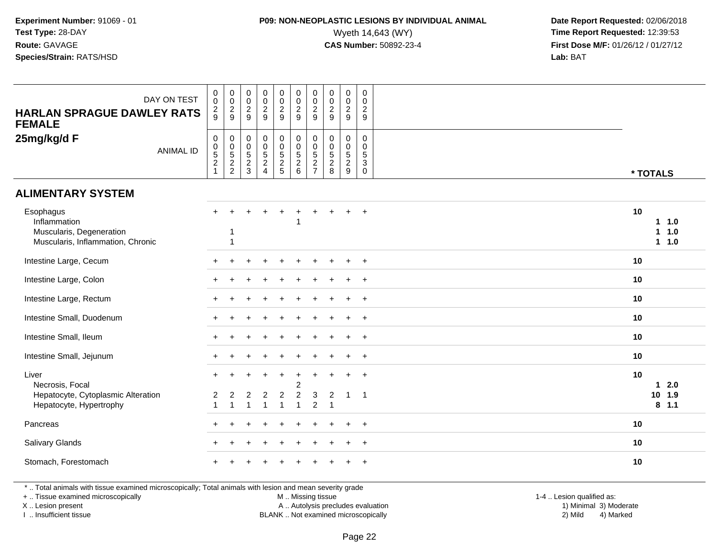### **P09: NON-NEOPLASTIC LESIONS BY INDIVIDUAL ANIMAL**<br>Wyeth 14,643 (WY) Wyeth 14,643 (WY) **Time Report Requested:** 12:39:53<br>**CAS Number:** 50892-23-4 **Time Report Requested:** 12:39:53

 **Date Report Requested:** 02/06/2018 **First Dose M/F:** 01/26/12 / 01/27/12<br>**Lab:** BAT

| DAY ON TEST<br><b>HARLAN SPRAGUE DAWLEY RATS</b><br><b>FEMALE</b>                          | $\begin{smallmatrix} 0\\0 \end{smallmatrix}$<br>$\frac{2}{9}$ | $_{\rm 0}^{\rm 0}$<br>$\frac{2}{9}$    | $\pmb{0}$<br>$\mathbf 0$<br>$\frac{2}{9}$               | $\begin{smallmatrix} 0\\0 \end{smallmatrix}$<br>$\frac{2}{9}$    | $\begin{smallmatrix}0\0\0\end{smallmatrix}$<br>$\frac{2}{9}$ | $\begin{smallmatrix} 0\\0 \end{smallmatrix}$<br>$\frac{2}{9}$ | $\begin{smallmatrix} 0\\0 \end{smallmatrix}$<br>$\frac{2}{9}$ | $\begin{smallmatrix} 0\\0 \end{smallmatrix}$<br>$\frac{2}{9}$ | $\begin{smallmatrix} 0\\0 \end{smallmatrix}$<br>$\frac{2}{9}$ | $\pmb{0}$<br>0<br>$\overline{2}$<br>$\boldsymbol{9}$ |                                   |
|--------------------------------------------------------------------------------------------|---------------------------------------------------------------|----------------------------------------|---------------------------------------------------------|------------------------------------------------------------------|--------------------------------------------------------------|---------------------------------------------------------------|---------------------------------------------------------------|---------------------------------------------------------------|---------------------------------------------------------------|------------------------------------------------------|-----------------------------------|
| 25mg/kg/d F<br><b>ANIMAL ID</b>                                                            | 000521                                                        | $\mathbf 0$<br>$\frac{0}{5}$<br>2<br>2 | $\pmb{0}$<br>$\mathbf 0$<br>$\sqrt{5}$<br>$\frac{2}{3}$ | $\pmb{0}$<br>$\ddot{\mathbf{0}}$<br>$\mathbf 5$<br>$\frac{2}{4}$ | 0<br>$\begin{array}{c} 0 \\ 5 \\ 2 \\ 5 \end{array}$         | 0<br>0<br>5<br>2<br>6                                         | $0005$<br>$27$                                                | $\boldsymbol{0}$<br>$0$<br>$5$<br>$2$<br>$8$                  | $\pmb{0}$<br>$0$<br>$5$<br>$2$<br>$9$                         | 0<br>0<br>$\sqrt{5}$<br>$\mathbf{3}$<br>$\mathbf 0$  | * TOTALS                          |
| <b>ALIMENTARY SYSTEM</b>                                                                   |                                                               |                                        |                                                         |                                                                  |                                                              |                                                               |                                                               |                                                               |                                                               |                                                      |                                   |
| Esophagus<br>Inflammation<br>Muscularis, Degeneration<br>Muscularis, Inflammation, Chronic | $+$                                                           | 1                                      |                                                         |                                                                  |                                                              | $\ddot{}$                                                     | $+$                                                           |                                                               | $+$                                                           | $+$                                                  | 10<br>1.0<br>1.0<br>1.<br>$1 1.0$ |
| Intestine Large, Cecum                                                                     |                                                               |                                        |                                                         |                                                                  |                                                              |                                                               |                                                               |                                                               |                                                               | $\ddot{}$                                            | 10                                |
| Intestine Large, Colon                                                                     |                                                               |                                        |                                                         |                                                                  |                                                              |                                                               |                                                               |                                                               |                                                               | $\overline{+}$                                       | 10                                |
| Intestine Large, Rectum                                                                    |                                                               |                                        |                                                         |                                                                  |                                                              |                                                               |                                                               |                                                               |                                                               | $\ddot{}$                                            | 10                                |
| Intestine Small, Duodenum                                                                  |                                                               |                                        |                                                         |                                                                  |                                                              |                                                               |                                                               |                                                               |                                                               | $\ddot{}$                                            | 10                                |
| Intestine Small, Ileum                                                                     |                                                               |                                        |                                                         |                                                                  |                                                              |                                                               |                                                               |                                                               |                                                               | $\ddot{}$                                            | 10                                |
| Intestine Small, Jejunum                                                                   |                                                               |                                        |                                                         |                                                                  |                                                              |                                                               |                                                               |                                                               |                                                               | $\ddot{}$                                            | 10                                |
| Liver<br>Necrosis, Focal                                                                   |                                                               |                                        |                                                         |                                                                  | $\ddot{}$                                                    | $\ddot{}$<br>$\overline{c}$                                   | $\ddot{}$                                                     |                                                               | $\div$                                                        | $+$                                                  | 10<br>$12.0$                      |
| Hepatocyte, Cytoplasmic Alteration<br>Hepatocyte, Hypertrophy                              |                                                               | $\overline{1}$                         | 2<br>$\mathbf{1}$                                       | $\overline{2}$<br>-1                                             | $\overline{2}$<br>$\mathbf{1}$                               | $\overline{c}$<br>$\mathbf{1}$                                | 3<br>$\overline{c}$                                           | 2<br>$\overline{1}$                                           | $\mathbf{1}$                                                  | $\overline{\phantom{1}}$                             | 10 1.9<br>$8$ 1.1                 |
| Pancreas                                                                                   |                                                               |                                        |                                                         |                                                                  |                                                              |                                                               |                                                               |                                                               |                                                               | $\overline{+}$                                       | 10                                |
| Salivary Glands                                                                            |                                                               |                                        |                                                         |                                                                  |                                                              |                                                               |                                                               |                                                               |                                                               | $\ddot{}$                                            | 10                                |
| Stomach, Forestomach                                                                       |                                                               |                                        |                                                         |                                                                  |                                                              |                                                               |                                                               |                                                               |                                                               | $\ddot{}$                                            | 10                                |

\* .. Total animals with tissue examined microscopically; Total animals with lesion and mean severity grade

+ .. Tissue examined microscopically

X .. Lesion present

I .. Insufficient tissue

M .. Missing tissue

A .. Autolysis precludes evaluation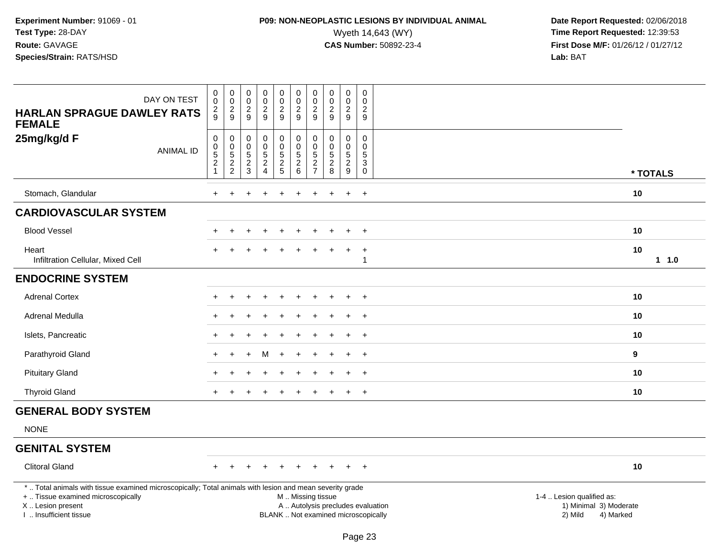### **P09: NON-NEOPLASTIC LESIONS BY INDIVIDUAL ANIMAL**Wyeth 14,643 (WY) **Time Report Requested:** 12:39:53<br>**CAS Number:** 50892-23-4 **Time Report Requested:** 12:39:53

 **Date Report Requested:** 02/06/2018 **First Dose M/F:** 01/26/12 / 01/27/12<br>**Lab:** BAT

| DAY ON TEST<br><b>HARLAN SPRAGUE DAWLEY RATS</b><br><b>FEMALE</b>                                                                              | $\begin{smallmatrix}0\0\0\end{smallmatrix}$<br>$\frac{2}{9}$ | $\begin{array}{c} 0 \\ 0 \\ 2 \\ 9 \end{array}$              | $\pmb{0}$<br>$\mathsf{O}\xspace$<br>$\frac{2}{9}$ | 00029  | $\begin{smallmatrix} 0\\0 \end{smallmatrix}$<br>$\frac{2}{9}$ | $\pmb{0}$<br>$\ddot{\mathbf{0}}$<br>$\frac{2}{9}$                     | $\pmb{0}$<br>$\pmb{0}$<br>$\frac{2}{9}$                          | $_{\rm 0}^{\rm 0}$<br>$\frac{2}{9}$ | $_{\rm 0}^{\rm 0}$<br>$\frac{2}{9}$                  | $\pmb{0}$<br>0<br>$\frac{2}{9}$                                            |                           |
|------------------------------------------------------------------------------------------------------------------------------------------------|--------------------------------------------------------------|--------------------------------------------------------------|---------------------------------------------------|--------|---------------------------------------------------------------|-----------------------------------------------------------------------|------------------------------------------------------------------|-------------------------------------|------------------------------------------------------|----------------------------------------------------------------------------|---------------------------|
| 25mg/kg/d F<br><b>ANIMAL ID</b>                                                                                                                | 0<br>$0$<br>5<br>2<br>1                                      | $\pmb{0}$<br>$\begin{array}{c} 0 \\ 5 \\ 2 \\ 2 \end{array}$ | $\mathbf 0$<br>$\mathsf 0$<br>$\frac{5}{2}$       | 000524 | 0<br>$\begin{array}{c}\n0 \\ 5 \\ 2 \\ 5\n\end{array}$        | $\pmb{0}$<br>$\pmb{0}$<br>$\overline{5}$<br>$\overline{2}$<br>$\,6\,$ | 0<br>$\pmb{0}$<br>$\sqrt{5}$<br>$\overline{2}$<br>$\overline{7}$ | 0<br>$\pmb{0}$<br>$\frac{5}{2}$     | 0<br>$\begin{array}{c} 0 \\ 5 \\ 2 \\ 9 \end{array}$ | 0<br>$\mathsf{O}\xspace$<br>$5\,$<br>$\overline{3}$<br>$\mathsf{O}\xspace$ | * TOTALS                  |
| Stomach, Glandular                                                                                                                             |                                                              |                                                              |                                                   |        |                                                               |                                                                       |                                                                  |                                     | $\ddot{}$                                            | $\overline{+}$                                                             | 10                        |
| <b>CARDIOVASCULAR SYSTEM</b>                                                                                                                   |                                                              |                                                              |                                                   |        |                                                               |                                                                       |                                                                  |                                     |                                                      |                                                                            |                           |
| <b>Blood Vessel</b>                                                                                                                            |                                                              |                                                              |                                                   |        | $\ddot{}$                                                     |                                                                       |                                                                  |                                     | $\ddot{}$                                            | $\overline{+}$                                                             | 10                        |
| Heart<br>Infiltration Cellular, Mixed Cell                                                                                                     |                                                              |                                                              |                                                   |        |                                                               |                                                                       |                                                                  |                                     | $\overline{ }$                                       | $\ddot{}$                                                                  | 10<br>1 1.0               |
| <b>ENDOCRINE SYSTEM</b>                                                                                                                        |                                                              |                                                              |                                                   |        |                                                               |                                                                       |                                                                  |                                     |                                                      |                                                                            |                           |
| <b>Adrenal Cortex</b>                                                                                                                          |                                                              |                                                              |                                                   |        |                                                               |                                                                       |                                                                  |                                     |                                                      | $\overline{+}$                                                             | 10                        |
| Adrenal Medulla                                                                                                                                | $\pm$                                                        |                                                              |                                                   |        |                                                               |                                                                       |                                                                  |                                     | $\div$                                               | $\overline{+}$                                                             | 10                        |
| Islets, Pancreatic                                                                                                                             |                                                              |                                                              |                                                   |        |                                                               |                                                                       |                                                                  |                                     |                                                      | $\ddot{}$                                                                  | 10                        |
| Parathyroid Gland                                                                                                                              | $+$                                                          | $\div$                                                       |                                                   | м      | $\ddot{}$                                                     |                                                                       |                                                                  |                                     | $\ddot{}$                                            | $+$                                                                        | 9                         |
| <b>Pituitary Gland</b>                                                                                                                         |                                                              |                                                              |                                                   |        |                                                               |                                                                       |                                                                  |                                     |                                                      | $\ddot{}$                                                                  | 10                        |
| <b>Thyroid Gland</b>                                                                                                                           | $+$                                                          |                                                              |                                                   |        |                                                               |                                                                       |                                                                  |                                     | $\ddot{}$                                            | $\overline{+}$                                                             | 10                        |
| <b>GENERAL BODY SYSTEM</b>                                                                                                                     |                                                              |                                                              |                                                   |        |                                                               |                                                                       |                                                                  |                                     |                                                      |                                                                            |                           |
| <b>NONE</b>                                                                                                                                    |                                                              |                                                              |                                                   |        |                                                               |                                                                       |                                                                  |                                     |                                                      |                                                                            |                           |
| <b>GENITAL SYSTEM</b>                                                                                                                          |                                                              |                                                              |                                                   |        |                                                               |                                                                       |                                                                  |                                     |                                                      |                                                                            |                           |
| <b>Clitoral Gland</b>                                                                                                                          | $+$                                                          | $+$                                                          | $\div$                                            | $\div$ | $\pm$                                                         |                                                                       |                                                                  |                                     | $+$                                                  | $+$                                                                        | 10                        |
| *  Total animals with tissue examined microscopically; Total animals with lesion and mean severity grade<br>+  Tissue examined microscopically |                                                              |                                                              |                                                   |        |                                                               | M  Missing tissue                                                     |                                                                  |                                     |                                                      |                                                                            | 1-4  Lesion qualified as: |

X .. Lesion present

I .. Insufficient tissue

A .. Autolysis precludes evaluation 1) Minimal 3) Moderate BLANK .. Not examined microscopically 2) Mild 4) Marked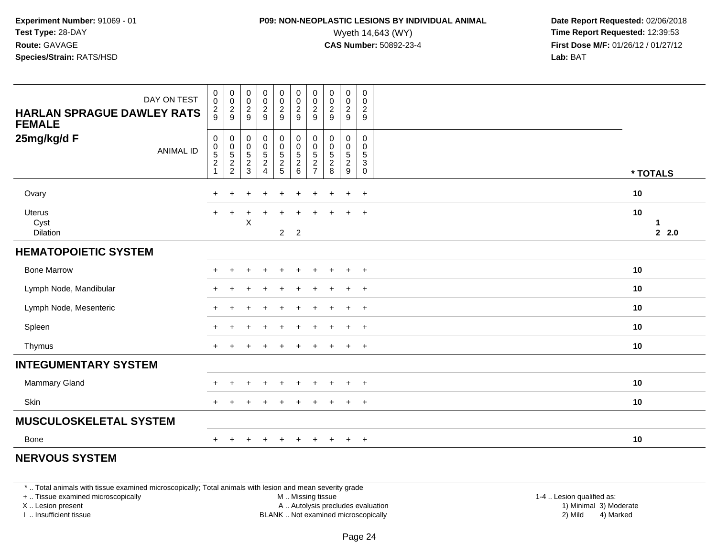### **P09: NON-NEOPLASTIC LESIONS BY INDIVIDUAL ANIMAL**<br>Wyeth 14,643 (WY) Wyeth 14,643 (WY) **Time Report Requested:** 12:39:53<br>**CAS Number:** 50892-23-4 **Time Report Requested:** 12:39:53

 **Date Report Requested:** 02/06/2018 **First Dose M/F:** 01/26/12 / 01/27/12<br>**Lab:** BAT **Lab:** BAT

| DAY ON TEST<br><b>HARLAN SPRAGUE DAWLEY RATS</b><br><b>FEMALE</b> | $\begin{smallmatrix} 0\\0 \end{smallmatrix}$<br>$\frac{2}{9}$    | $\begin{array}{c} 0 \\ 0 \\ 2 \\ 9 \end{array}$ | 00029                                                                    | $\begin{array}{c} 0 \\ 0 \\ 2 \\ 9 \end{array}$ | $\begin{array}{c} 0 \\ 0 \\ 2 \\ 9 \end{array}$              | 00029                                 | $\begin{array}{c} 0 \\ 0 \\ 2 \\ 9 \end{array}$ | $\begin{array}{c} 0 \\ 0 \\ 2 \\ 9 \end{array}$ | $\pmb{0}$<br>$\frac{0}{2}$    | $\pmb{0}$<br>$\mathsf{O}\xspace$<br>$\frac{2}{9}$                 |                 |
|-------------------------------------------------------------------|------------------------------------------------------------------|-------------------------------------------------|--------------------------------------------------------------------------|-------------------------------------------------|--------------------------------------------------------------|---------------------------------------|-------------------------------------------------|-------------------------------------------------|-------------------------------|-------------------------------------------------------------------|-----------------|
| 25mg/kg/d F<br><b>ANIMAL ID</b>                                   | $\begin{matrix} 0 \\ 0 \\ 5 \\ 2 \end{matrix}$<br>$\overline{1}$ | $\pmb{0}$<br>$0$<br>$5$<br>$2$<br>$2$           | $\pmb{0}$<br>$\begin{smallmatrix}0\\5\end{smallmatrix}$<br>$\frac{2}{3}$ | 0<br>$\frac{0}{5}$<br>2<br>4                    | $\pmb{0}$<br>$\begin{array}{c} 0 \\ 5 \\ 2 \\ 5 \end{array}$ | $\pmb{0}$<br>$0$<br>$5$<br>$2$<br>$6$ | $\pmb{0}$<br>$0$<br>$5$<br>$2$<br>$7$           | $\mathbf 0$<br>$\pmb{0}$<br>$\frac{5}{2}$       | 0<br>$0$<br>$5$<br>$2$<br>$9$ | 0<br>0<br>$\,$ 5 $\,$<br>$\ensuremath{\mathsf{3}}$<br>$\mathbf 0$ | * TOTALS        |
| Ovary                                                             | $+$                                                              | $\ddot{}$                                       | ٠                                                                        | $\ddot{}$                                       | $\ddot{}$                                                    | $\ddot{}$                             | $\pm$                                           | $\pm$                                           | $\ddot{}$                     | $^{+}$                                                            | 10              |
| <b>Uterus</b><br>Cyst<br>Dilation                                 | $+$                                                              | $\ddot{}$                                       | X                                                                        |                                                 | ÷<br>$\overline{2}$                                          | $\overline{2}$                        |                                                 |                                                 | $\ddot{}$                     | $+$                                                               | 10<br>1<br>22.0 |
| <b>HEMATOPOIETIC SYSTEM</b>                                       |                                                                  |                                                 |                                                                          |                                                 |                                                              |                                       |                                                 |                                                 |                               |                                                                   |                 |
| <b>Bone Marrow</b>                                                |                                                                  |                                                 |                                                                          |                                                 | ÷                                                            | ÷.                                    |                                                 |                                                 | $\ddot{}$                     | $^{+}$                                                            | 10              |
| Lymph Node, Mandibular                                            | $\ddot{}$                                                        |                                                 |                                                                          |                                                 |                                                              |                                       |                                                 |                                                 | $\ddot{}$                     | $\overline{+}$                                                    | 10              |
| Lymph Node, Mesenteric                                            | $+$                                                              | $\div$                                          |                                                                          |                                                 |                                                              | $\div$                                |                                                 |                                                 | $\ddot{}$                     | $^{+}$                                                            | 10              |
| Spleen                                                            |                                                                  |                                                 |                                                                          |                                                 |                                                              |                                       |                                                 |                                                 | $\ddot{}$                     | $+$                                                               | 10              |
| Thymus                                                            | $\div$                                                           |                                                 |                                                                          |                                                 |                                                              |                                       |                                                 |                                                 | $\ddot{}$                     | $^+$                                                              | 10              |
| <b>INTEGUMENTARY SYSTEM</b>                                       |                                                                  |                                                 |                                                                          |                                                 |                                                              |                                       |                                                 |                                                 |                               |                                                                   |                 |
| Mammary Gland                                                     |                                                                  |                                                 |                                                                          |                                                 |                                                              |                                       |                                                 |                                                 |                               | $\overline{+}$                                                    | 10              |
| Skin                                                              |                                                                  |                                                 |                                                                          |                                                 |                                                              |                                       |                                                 |                                                 | $\ddot{}$                     | $+$                                                               | 10              |
| <b>MUSCULOSKELETAL SYSTEM</b>                                     |                                                                  |                                                 |                                                                          |                                                 |                                                              |                                       |                                                 |                                                 |                               |                                                                   |                 |
| Bone                                                              | $+$                                                              | $\ddot{}$                                       | $\pm$                                                                    | $\overline{+}$                                  | $+$                                                          | $+$                                   | $\ddot{}$                                       | $+$                                             | $+$                           | $+$                                                               | 10              |

#### **NERVOUS SYSTEM**

\* .. Total animals with tissue examined microscopically; Total animals with lesion and mean severity grade

+ .. Tissue examined microscopically

X .. Lesion present

I .. Insufficient tissue

 M .. Missing tissueA .. Autolysis precludes evaluation